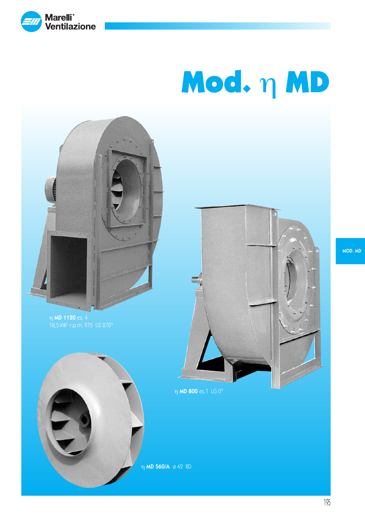

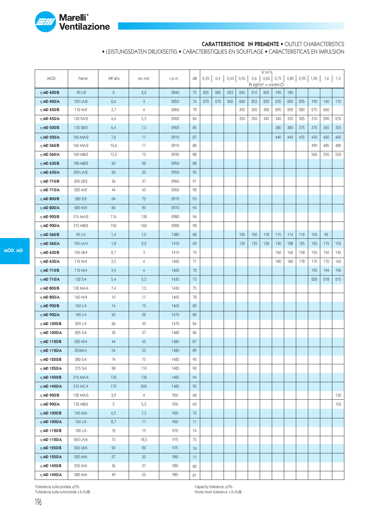

### CARATTERISTICHE IN PREMENTE • OUTLET CHARACTERISTICS

• LEISTUNGSDATEN DRUCKSEITIG • CARACTERISTIQUES EN SOUFFLAGE • CARACTERISTICAS EN IMPULSION

|                  |          |         |                |        |        |     |            |     |             |     | V m <sup>3</sup> /s |                               |     |     |     |                                    |     |
|------------------|----------|---------|----------------|--------|--------|-----|------------|-----|-------------|-----|---------------------|-------------------------------|-----|-----|-----|------------------------------------|-----|
| MOD.             | Frame    | kW abs  | kw inst.       | r.p.m. | dB     |     | $0,35$ 0,4 |     | $0,45$ 0,55 | 0,6 |                     | Pt kgf/m <sup>2</sup> = mmH2O |     |     |     | $0,65$ 0,75 0,85 0,95 1,05 1,2 1,3 |     |
| $η$ MD 400/B     | 90 L/2   | $\,2\,$ | 2,2            | 2840   | 75     | 225 | 225        | 223 | 220         | 210 | 200                 | 190                           | 180 |     |     |                                    |     |
| $η$ MD 400/A     | 100 LA/2 | 2,6     | $\mathfrak{Z}$ | 2850   | 76     | 270 | 270        | 265 | 260         | 255 | 250                 | 235                           | 220 | 205 | 190 | 140                                | 115 |
| $\eta$ MD 450/B  | 112 M/2  | 3,7     | $\overline{4}$ | 2860   | 78     |     |            |     | 305         | 305 | 300                 | 295                           | 290 | 280 | 275 | 260                                |     |
| $η$ MD 450/A     | 132 SA/2 | 4,4     | 5,5            | 2900   | 84     |     |            |     | 350         | 350 | 345                 | 340                           | 335 | 325 | 310 | 290                                | 270 |
| $η$ MD 500/B     | 132 SB/2 | 6,4     | 7,5            | 2900   | 85     |     |            |     |             |     |                     | 380                           | 380 | 375 | 370 | 365                                | 355 |
| $\eta$ MD 500/A  | 160 MA/2 | 7,6     | 11             | 2910   | 87     |     |            |     |             |     |                     | 440                           | 440 | 435 | 430 | 420                                | 405 |
| η MD 560/B       | 160 MA/2 | 10,6    | 11             | 2910   | 88     |     |            |     |             |     |                     |                               |     |     | 490 | 485                                | 480 |
| $\eta$ MD 560/A  | 160 MB/2 | 13,5    | 15             | 2930   | 88     |     |            |     |             |     |                     |                               |     |     | 560 | 555                                | 550 |
| $\eta$ MD 630/B  | 180 MB/2 | 20      | 22             | 2950   | 88     |     |            |     |             |     |                     |                               |     |     |     |                                    |     |
| $η$ MD 630/A     | 200 LA/2 | 26      | 30             | 2950   | 90     |     |            |     |             |     |                     |                               |     |     |     |                                    |     |
| η MD 710/B       | 200 LB/2 | 36      | 37             | 2960   | 91     |     |            |     |             |     |                     |                               |     |     |     |                                    |     |
| $\eta$ MD 710/A  | 225 M/2  | 44      | 45             | 2960   | 92     |     |            |     |             |     |                     |                               |     |     |     |                                    |     |
| η MD 800/B       | 280 S/2  | 64      | 75             | 2970   | 93     |     |            |     |             |     |                     |                               |     |     |     |                                    |     |
| $\eta$ MD 800/A  | 280 M/2  | 84      | 90             | 2970   | 94     |     |            |     |             |     |                     |                               |     |     |     |                                    |     |
| η MD 900/B       | 315 MA/2 | 116     | 132            | 2980   | 96     |     |            |     |             |     |                     |                               |     |     |     |                                    |     |
| $η$ MD 900/A     | 315 MB/2 | 150     | 160            | 2980   | 98     |     |            |     |             |     |                     |                               |     |     |     |                                    |     |
| $\eta$ MD 560/B  | 90 L/4   | 1,4     | 1,5            | 1380   | 68     |     |            |     | 120         | 120 | 118                 | 115                           | 114 | 112 | 105 | 95                                 |     |
| $η$ MD 560/A     | 100 LA/4 | 1,8     | 2,2            | 1410   | 69     |     |            |     | 135         | 135 | 132                 | 130                           | 128 | 125 | 120 | 115                                | 105 |
| η MD 630/B       | 100 LB/4 | 2,7     | 3              | 1410   | 70     |     |            |     |             |     |                     | 160                           | 160 | 158 | 155 | 150                                | 145 |
| $\eta$ MD 630/A  | 112 M/4  | 3,5     | 4              | 1420   | 71     |     |            |     |             |     |                     | 180                           | 180 | 178 | 175 | 170                                | 165 |
| $η$ MD 710/B     | 112 M/4  | 3,9     | $\overline{4}$ | 1420   | 72     |     |            |     |             |     |                     |                               |     |     | 195 | 194                                | 190 |
| $η$ MD 710/A     | 132 S/4  | 5,4     | 5,5            | 1430   | 73     |     |            |     |             |     |                     |                               |     |     | 220 | 218                                | 215 |
| $η$ MD 800/B     | 132 MA/4 | 7,4     | 7,5            | 1430   | 75     |     |            |     |             |     |                     |                               |     |     |     |                                    |     |
| $\eta$ MD 800/A  | 160 M/4  | 10      | 11             | 1465   | 78     |     |            |     |             |     |                     |                               |     |     |     |                                    |     |
| $η$ MD 900/B     | 160 L/4  | 14      | 15             | 1465   | 80     |     |            |     |             |     |                     |                               |     |     |     |                                    |     |
| $η$ MD 900/A     | 180 L/4  | 20      | 22             | 1470   | 82     |     |            |     |             |     |                     |                               |     |     |     |                                    |     |
| η MD 1000/B      | 200 L/4  | 26      | 30             | 1470   | 84     |     |            |     |             |     |                     |                               |     |     |     |                                    |     |
| $\eta$ MD 1000/A | 225 S/4  | 32      | 37             | 1480   | 86     |     |            |     |             |     |                     |                               |     |     |     |                                    |     |
| $η$ MD 1120/B    | 225 M/4  | 44      | 45             | 1480   | 87     |     |            |     |             |     |                     |                               |     |     |     |                                    |     |
| $η$ MD 1120/A    | 250M/4   | 54      | 55             | 1480   | 89     |     |            |     |             |     |                     |                               |     |     |     |                                    |     |
| $\eta$ MD 1250/B | 280 S/4  | 74      | 75             | 1485   | 90     |     |            |     |             |     |                     |                               |     |     |     |                                    |     |
| η MD 1250/A      | 315 S/4  | 98      | 110            | 1485   | 92     |     |            |     |             |     |                     |                               |     |     |     |                                    |     |
| $\eta$ MD 1400/B | 315 MA/4 | 130     | 132            | 1485   | 94     |     |            |     |             |     |                     |                               |     |     |     |                                    |     |
| η MD 1400/A      | 315 MC/4 | 170     | 200            | 1485   | 95     |     |            |     |             |     |                     |                               |     |     |     |                                    |     |
| $\eta$ MD 900/B  | 132 MA/6 | 3,9     | $\overline{4}$ | 950    | 68     |     |            |     |             |     |                     |                               |     |     |     |                                    | 130 |
| η MD 900/A       | 132 MB/6 | 5       | 5,5            | 950    | 69     |     |            |     |             |     |                     |                               |     |     |     |                                    | 150 |
| $\eta$ MD 1000/B | 160 M/6  | 6,5     | 7,5            | 960    | $70\,$ |     |            |     |             |     |                     |                               |     |     |     |                                    |     |
| $η$ MD 1000/A    | 160 L/6  | 8,7     | 11             | 960    | 71     |     |            |     |             |     |                     |                               |     |     |     |                                    |     |
| $\eta$ MD 1120/B | 180 L/6  | 12      | 15             | 970    | 74     |     |            |     |             |     |                     |                               |     |     |     |                                    |     |
| $η$ MD 1120/A    | 200 LA/6 | 15      | 18,5           | 975    | 75     |     |            |     |             |     |                     |                               |     |     |     |                                    |     |
| $η$ MD 1250/B    | 200 LB/6 | 20      | 22             | 975    | 76     |     |            |     |             |     |                     |                               |     |     |     |                                    |     |
| $η$ MD 1250/A    | 225 M/6  | 27      | 30             | 980    | 77     |     |            |     |             |     |                     |                               |     |     |     |                                    |     |
| $\eta$ MD 1400/B | 250 M/6  | 36      | 37             | 980    | 80     |     |            |     |             |     |                     |                               |     |     |     |                                    |     |
| $η$ MD 1400/A    | 280 M/6  | 49      | 55             | 985    | 81     |     |            |     |             |     |                     |                               |     |     |     |                                    |     |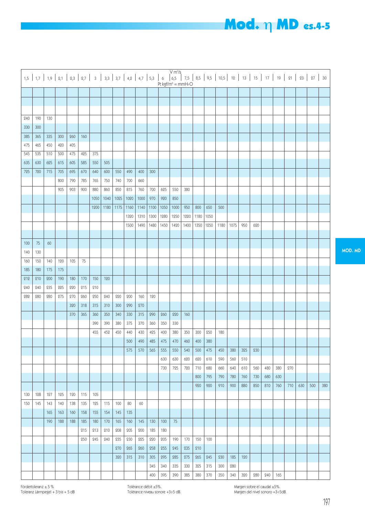#### 240 190 130 330 300 385 365 335 300 260 160 475 465 450 420 405 545 | 535 | 510 | 500 | 475 | 425 | 375 635 | 630 | 625 | 615 | 605 | 585 | 550 | 505 725 | 720 | 715 | 705 | 695 | 670 | 640 | 600 | 550 | 490 | 400 | 300 800 | 790 | 785 | 765 | 750 | 740 | 700 | 660 905 | 903 | 900 | 880 | 860 | 850 | 815 | 760 | 700 | 625 | 550 1050 | 1040 | 1025 | 1020 | 1000 | 970 | 920 | 850 1200 | 1180 | 1175 | 1160 | 1140 | 1100 | 1050 | 1000 1320 | 1310 | 1300 | 1280 | 1250 1500 1490 1480 1450 1420  $100$  75 60 140 130 160 150 140 120 105 75 180 175 175 212 210 200 190 180 170 150 120 240 | 240 | 235 | 225 | 220 | 215 | 210 282 | 280 | 280 | 275 | 270 | 260 | 250 | 240 | 220 | 200 | 160 | 120 320 318 315 310 300 290 270 370 365 360 350 340 330 315 290 260 220 390 390 380 375 370 360 350 330 455 | 452 | 450 | 440 | 430 | 425 | 400 | 380 500 490 485 475 470 575 | 570 | 565 | 555 | 550 630 630 730 725 130 | 128 | 127 | 125 | 120 | 115 | 105 150 | 145 | 143 | 140 | 138 | 135 | 125 | 115 | 100 | 80 | 60 165 | 163 | 160 | 158 | 155 | 154 | 145 | 135 190 | 188 | 188 | 185 | 180 | 170 | 165 | 160 | 145 | 130 | 100 | 75 215 213 210 208 205 200 185 180 250 | 245 | 240 | 235 | 230 | 225 | 220 | 205 | 190 270 265 260 258 255 245 320 315 310 305 295 285 345 340 335 400 395 390 380 950 800 650 500 1220 1180 1050 1400 1350 1250 1180 1075 950 620 160 350 300 250 180 460 400 380 540 500 475 450 380 325 230 620 620 610 590 560 510 720 710 680 660 640 610 560 480 380 270 800 | 795 | 790 | 780 | 760 | 730 | 680 | 630 920 | 920 | 910 | 900 | 880 | 850 | 810 | 760 | 710 | 630 | 500 | 380 170 150 100  $935 | 910$ 275 265 245 230 185 120 330 325 315 300 280 385 | 380 | 370 | 350 | 340 | 320 | 280 | 240 | 165 7,5 8,5 9,5 10,5 12 13 15 17 19 21 23 27 30 Pt kgf/m<sup>2</sup> = mmH<sub>2</sub>O  $V$  m<sup>3</sup>/s 1,5 1,7 1,9 2,1 2,3 2,7 3 3,3 3,7 4,2 4,7 5,3 6 6,5

Tolèrance débit ±5%. Tolèrance niveau sonore +3÷5 dB.

## **Mod.** η MD es.4-5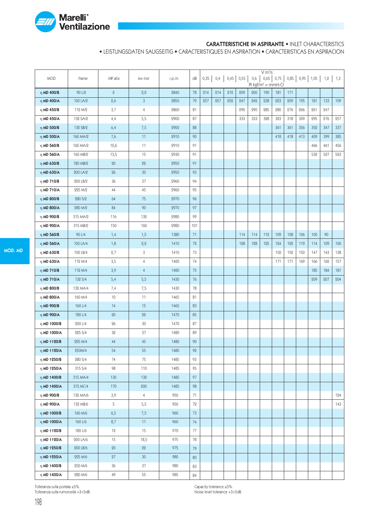

### CARATTERISTICHE IN ASPIRANTE • INLET CHARACTERISTICS

• LEISTUNGSDATEN SAUGSEITIG • CARACTERISTIQUES EN ASPIRATION • CARACTERISTICAS EN ASPIRACION

|                  |          |              |                 |        |     |      |     |                 |     |     | V m <sup>3</sup> /s |                                                                     |     |     |     |     |     |
|------------------|----------|--------------|-----------------|--------|-----|------|-----|-----------------|-----|-----|---------------------|---------------------------------------------------------------------|-----|-----|-----|-----|-----|
| MOD.             | Frame    | kW abs       | kw inst.        | r.p.m. | dB  | 0,35 |     | $0,4$ 0,45 0,55 |     | 0,6 |                     | $0,65$ 0,75 0,85 0,95 1,05 1,2 1,3<br>Pt kgf/m <sup>2</sup> = mmH2O |     |     |     |     |     |
| $η$ MD 400/B     | 90 L/2   | $\mathbf{2}$ | 2,2             | 2840   | 78  | 214  | 214 | 212             | 209 | 200 | 190                 | 181                                                                 | 171 |     |     |     |     |
| $η$ MD 400/A     | 100 LA/2 | 2,6          | 3               | 2850   | 79  | 257  | 257 | 252             | 247 | 242 | 238                 | 223                                                                 | 209 | 195 | 181 | 133 | 109 |
| η MD 450/B       | 112 M/2  | 3,7          | 4               | 2860   | 81  |      |     |                 | 290 | 290 | 285                 | 280                                                                 | 276 | 266 | 261 | 247 |     |
| $η$ MD 450/A     | 132 SA/2 | 4,4          | 5,5             | 2900   | 87  |      |     |                 | 333 | 333 | 328                 | 323                                                                 | 318 | 309 | 295 | 276 | 257 |
| $η$ MD 500/B     | 132 SB/2 | 6,4          | 7,5             | 2900   | 88  |      |     |                 |     |     |                     | 361                                                                 | 361 | 356 | 352 | 347 | 337 |
| $η$ MD 500/A     | 160 MA/2 | 7,6          | 11              | 2910   | 90  |      |     |                 |     |     |                     | 418                                                                 | 418 | 413 | 409 | 399 | 385 |
| η MD 560/B       | 160 MA/2 | 10,6         | 11              | 2910   | 91  |      |     |                 |     |     |                     |                                                                     |     |     | 466 | 461 | 456 |
| $\eta$ MD 560/A  | 160 MB/2 | 13,5         | 15              | 2930   | 91  |      |     |                 |     |     |                     |                                                                     |     |     | 532 | 527 | 523 |
| $\eta$ MD 630/B  | 180 MB/2 | 20           | 22              | 2950   | 91  |      |     |                 |     |     |                     |                                                                     |     |     |     |     |     |
| $η$ MD 630/A     | 200 LA/2 | 26           | 30 <sup>°</sup> | 2950   | 93  |      |     |                 |     |     |                     |                                                                     |     |     |     |     |     |
| η MD 710/B       | 200 LB/2 | 36           | 37              | 2960   | 94  |      |     |                 |     |     |                     |                                                                     |     |     |     |     |     |
| $\eta$ MD 710/A  | 225 M/2  | 44           | 45              | 2960   | 95  |      |     |                 |     |     |                     |                                                                     |     |     |     |     |     |
| η MD 800/B       | 280 S/2  | 64           | 75              | 2970   | 96  |      |     |                 |     |     |                     |                                                                     |     |     |     |     |     |
| $η$ MD 800/A     | 280 M/2  | 84           | 90              | 2970   | 97  |      |     |                 |     |     |                     |                                                                     |     |     |     |     |     |
| η MD 900/B       | 315 MA/2 | 116          | 132             | 2980   | 99  |      |     |                 |     |     |                     |                                                                     |     |     |     |     |     |
| $η$ MD 900/A     | 315 MB/2 | 150          | 160             | 2980   | 101 |      |     |                 |     |     |                     |                                                                     |     |     |     |     |     |
| $\eta$ MD 560/B  | 90 L/4   | 1,4          | 1,5             | 1380   | 71  |      |     |                 | 114 | 114 | 112                 | 109                                                                 | 108 | 106 | 100 | 90  |     |
| $η$ MD 560/A     | 100 LA/4 | 1,8          | 2,2             | 1410   | 72  |      |     |                 | 128 | 128 | 125                 | 124                                                                 | 122 | 119 | 114 | 109 | 100 |
| η MD 630/B       | 100 LB/4 | 2,7          | 3               | 1410   | 73  |      |     |                 |     |     |                     | 152                                                                 | 152 | 150 | 147 | 143 | 138 |
| $\eta$ MD 630/A  | 112 M/4  | 3,5          | 4               | 1420   | 74  |      |     |                 |     |     |                     | 171                                                                 | 171 | 169 | 166 | 162 | 157 |
| $η$ MD 710/B     | 112 M/4  | 3,9          | $\overline{4}$  | 1420   | 75  |      |     |                 |     |     |                     |                                                                     |     |     | 185 | 184 | 181 |
| $η$ MD 710/A     | 132 S/4  | 5,4          | 5,5             | 1430   | 76  |      |     |                 |     |     |                     |                                                                     |     |     | 209 | 207 | 204 |
| η MD 800/B       | 132 MA/4 | 7,4          | 7,5             | 1430   | 78  |      |     |                 |     |     |                     |                                                                     |     |     |     |     |     |
| $\eta$ MD 800/A  | 160 M/4  | 10           | 11              | 1465   | 81  |      |     |                 |     |     |                     |                                                                     |     |     |     |     |     |
| $η$ MD 900/B     | 160 L/4  | 14           | 15              | 1465   | 83  |      |     |                 |     |     |                     |                                                                     |     |     |     |     |     |
| $η$ MD 900/A     | 180 L/4  | 20           | 22              | 1470   | 85  |      |     |                 |     |     |                     |                                                                     |     |     |     |     |     |
| η MD 1000/B      | 200 L/4  | 26           | 30              | 1470   | 87  |      |     |                 |     |     |                     |                                                                     |     |     |     |     |     |
| η MD 1000/A      | 225 S/4  | 32           | 37              | 1480   | 89  |      |     |                 |     |     |                     |                                                                     |     |     |     |     |     |
| $η$ MD 1120/B    | 225 M/4  | 44           | 45              | 1480   | 90  |      |     |                 |     |     |                     |                                                                     |     |     |     |     |     |
| $η$ MD 1120/A    | 250M/4   | 54           | 55              | 1480   | 92  |      |     |                 |     |     |                     |                                                                     |     |     |     |     |     |
| η MD 1250/B      | 280 S/4  | 74           | 75              | 1485   | 93  |      |     |                 |     |     |                     |                                                                     |     |     |     |     |     |
| $η$ MD 1250/A    | 315 S/4  | 98           | 110             | 1485   | 95  |      |     |                 |     |     |                     |                                                                     |     |     |     |     |     |
| $\eta$ MD 1400/B | 315 MA/4 | 130          | 132             | 1485   | 97  |      |     |                 |     |     |                     |                                                                     |     |     |     |     |     |
| $\eta$ MD 1400/A | 315 MC/4 | 170          | 200             | 1485   | 98  |      |     |                 |     |     |                     |                                                                     |     |     |     |     |     |
| $\eta$ MD 900/B  | 132 MA/6 | 3,9          | $\overline{4}$  | 950    | 71  |      |     |                 |     |     |                     |                                                                     |     |     |     |     | 124 |
| η MD 900/A       | 132 MB/6 | 5            | 5,5             | 950    | 72  |      |     |                 |     |     |                     |                                                                     |     |     |     |     | 143 |
| $η$ MD 1000/B    | 160 M/6  | 6,5          | 7,5             | 960    | 73  |      |     |                 |     |     |                     |                                                                     |     |     |     |     |     |
| $η$ MD 1000/A    | 160 L/6  | 8,7          | 11              | 960    | 74  |      |     |                 |     |     |                     |                                                                     |     |     |     |     |     |
| $\eta$ MD 1120/B | 180 L/6  | 12           | 15              | 970    | 77  |      |     |                 |     |     |                     |                                                                     |     |     |     |     |     |
| $η$ MD 1120/A    | 200 LA/6 | 15           | 18,5            | 975    | 78  |      |     |                 |     |     |                     |                                                                     |     |     |     |     |     |
| $η$ MD 1250/B    | 200 LB/6 | 20           | 22              | 975    | 79  |      |     |                 |     |     |                     |                                                                     |     |     |     |     |     |
| $η$ MD 1250/A    | 225 M/6  | 27           | 30 <sup>°</sup> | 980    | 80  |      |     |                 |     |     |                     |                                                                     |     |     |     |     |     |
| $\eta$ MD 1400/B | 250 M/6  | 36           | 37              | 980    | 83  |      |     |                 |     |     |                     |                                                                     |     |     |     |     |     |
| $η$ MD 1400/A    | 280 M/6  | 49           | 55              | 985    | 84  |      |     |                 |     |     |                     |                                                                     |     |     |     |     |     |

Tolleranza sulla portata ±5%. Tolleranza sulla rumorosità +3÷5dB.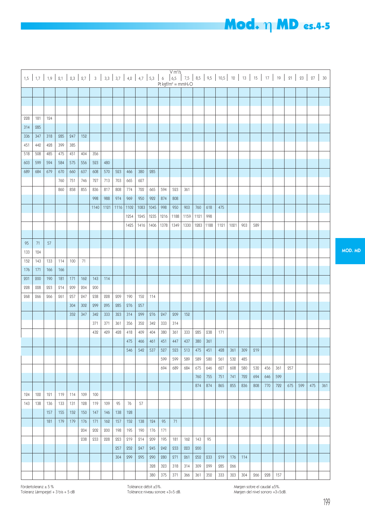#### 228 181 124 314 285 336 347 318 285 247 152 451 442 428 399 385 518 508 485 475 451 404 356 603 | 599 | 594 | 584 | 575 | 556 | 523 | 480 689 | 684 | 679 | 670 | 660 | 637 | 608 | 570 | 523 | 466 | 380 | 285 760 | 751 | 746 | 727 | 713 | 703 | 665 | 627 860 | 858 | 855 | 836 | 817 | 808 | 774 | 722 | 665 | 594 | 523 998 | 988 | 974 | 969 | 950 | 922 | 874 | 808 1140 | 1121 | 1116 | 1102 | 1083 | 1045 | 998 | 950 1254 1245 1235 1216 1188 1425 | 1416 | 1406 | 1378 | 1349  $95 \mid 71 \mid 57$ 133 124 159 143 133 114 100 71 176 171 166 166 201 200 190 181 171 162 143 114 228 228 223 214 209 204 200 268 266 266 261 257 247 238 228 209 190 152 114 304 302 299 295 285 276 257 352 | 347 | 342 | 333 | 323 | 314 | 299 | 276 | 247 | 209 371 | 371 | 361 | 356 | 352 | 342 | 333 | 314 432 429 428 418 409 404 380 361 475 466 461 451 447  $546$   $540$   $537$   $507$   $503$ 599 599 694 689 124 | 122 | 121 | 119 | 114 | 109 | 100 143 | 138 | 136 | 133 | 131 | 128 | 119 | 109 | 95 | 76 | 57 157 | 155 | 152 | 150 | 147 | 146 | 138 | 128 181 | 179 | 179 | 176 | 171 | 162 | 157 | 152 | 138 | 124 | 95 | 71 204 202 200 198 195 190 176 171 238 | 233 | 228 | 223 | 219 | 214 | 209 | 195 | 181 257 252 247 245 242 233 304 299 295 290 280 271 328 323 318 380 375 371 361 903 760 618 475 1159 1121 998 1330 1283 1188 1121 1021 903 589 152 333 285 238 171 437 380 361 513 475 451 428 361 309 219 589 589 580 561 532 485 684 | 675 | 646 | 627 | 608 | 580 | 532 | 456 | 361 | 257 760 | 755 | 751 | 741 | 722 | 694 | 646 | 599 874 | 874 | 865 | 855 | 836 | 808 | 770 | 722 | 675 | 599 | 475 | 361 162 143 95 223 200 261 252 233 219 176 114 314 309 299 285 266 366 361 352 333 323 304 266 228 157 7,5 8,5 9,5 10,5 12 13 15 17 19 21 23 27 30 Pt kgf/m<sup>2</sup> = mmH<sub>2</sub>O 1,5 1,7 1,9 2,1 2,3 2,7 3 3,3 3,7 4,2 4,7 5,3 6 6,5  $V$  m $\frac{3}{s}$

Fördertoleranz ± 5 % Toleranz Lärmpegel + 3 bis + 5 dB Tolèrance débit ±5%. Tolèrance niveau sonore +3÷5 dB. Margen sobre el caudal ±5%. Margen del nivel sonoro +3÷5dB.

**Mod.** η MD es.4-5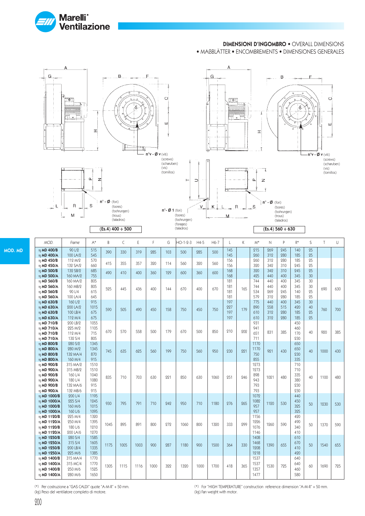

### DIMENSIONI D'INGOMBRO • OVERALL DIMENSIONS

• MAßBLÄTTER • ENCOMBREMENTS • DIMENSIONES GENERALES



 $(Es.4)$  400 ÷ 500



MOD. MD

| MOD.                          | Frame                | $A^*$        | B    | $\mathsf{C}$ | E    | F    | G   | $HO-1-2-3$ | $H4-5$ | $H6-7$ | L          | K   | $M^*$        | $\mathbb N$ | P          | $R*$       | S        | $\top$ | U |
|-------------------------------|----------------------|--------------|------|--------------|------|------|-----|------------|--------|--------|------------|-----|--------------|-------------|------------|------------|----------|--------|---|
| η MD 400/B<br>η MD 400/A      | 90 L/2<br>100 LA/2   | 515<br>545   | 390  | 330          | 319  | 285  | 103 | 500        | 285    | 500    | 145<br>145 |     | 215<br>260   | 269<br>312  | 245<br>280 | 140<br>185 | 25<br>25 |        |   |
| η MD 450/B                    | 119 M/9              | 570          |      |              |      |      |     |            |        |        | 156        |     | 260          | 312         | 280        | 185        | 25       |        |   |
| η MD 450/A                    | 132 SA/2             | 660          | 415  | 355          | 357  | 320  | 114 | 560        | 320    | 560    | 156        |     | 320          | 342         | 310        | 945        | 95       |        |   |
| η MD 500/B                    | 132 SB/2             | 685          | 490  | 410          | 400  | 360  | 199 | 600        | 360    | 600    | 168        |     | 320          | 342         | 310        | 245        | 25       |        |   |
| η MD 500/A<br>η MD 560/B      | 160 MA/2<br>160 MA/2 | 755<br>805   |      |              |      |      |     |            |        |        | 168<br>181 |     | 425<br>744   | 440<br>440  | 400<br>400 | 345<br>345 | 30<br>30 |        |   |
| η MD 560/A                    | 160 MB/2             | 805          | 595  | 445          |      | 400  |     | 670        | 400    | 670    | 181        |     | 744          | 440         | 400        | 345        | 30       | 690    |   |
| η MD 560/B                    | 90 L/4               | 615          |      |              | 436  |      | 144 |            |        |        | 181        | 165 | 534          | 269         | 245        | 140        | 25       |        |   |
| η MD 560/A                    | 100 LA/4             | 645          |      |              |      |      |     |            |        |        | 181        |     | 579          | 312         | 280        | 185        | 25       |        |   |
| η MD 630/B<br>η MD 630/A      | 160 L/2<br>200 LA/2  | 915<br>1015  |      |              |      |      |     |            |        |        | 197<br>227 |     | 775<br>890   | 440<br>558  | 400<br>515 | 345<br>490 | 30<br>40 |        |   |
| η MD 630/B                    | 100 LB/4             | 675          | 590  | 505          | 490  | 450  | 158 | 750        | 450    | 750    | 197        | 179 | 610          | 312         | 280        | 185        | 95       | 760    |   |
| η MD 630/A                    | 112 M/4              | 675          |      |              |      |      |     |            |        |        | 197        |     | 610          | 312         | 980        | 185        | 95       |        |   |
| $\eta$ MD 710/B               | 200 LB/2             | 1055         |      |              |      |      |     |            |        |        |            |     | 931          |             |            | 450        |          |        |   |
| η MD 710/A                    | 225 M/2              | 1105         | 670  | 570          | 558  | 500  | 179 | 670        | 500    | 850    | 210        | 202 | 941          | 831         | 385        | 460        | 40       | 920    |   |
| η MD 710/B<br>$\eta$ MD 710/A | 112 M/4<br>132 S/4   | 715<br>805   |      |              |      |      |     |            |        |        |            |     | 651<br>711   |             |            | 170<br>230 |          |        |   |
| η MD 800/B                    | 280 S/2              | 1345         |      |              |      |      |     |            |        |        |            |     | 1170         |             |            | 650        |          |        |   |
| η MD 800/A                    | 280 M/2              | 1345         | 745  | 635          | 625  | 560  | 199 | 750        | 560    | 950    | 230        | 221 | 1170         | 921         | 430        | 650        | 40       | 1000   |   |
| η MD 800/B                    | 132 MA/4             | 870          |      |              |      |      |     |            |        |        |            |     | 750          |             |            | 230        |          |        |   |
| $\eta$ MD 800/A               | 160 M/4              | 915          |      |              |      |      |     |            |        |        |            |     | 855          |             |            | 335        |          |        |   |
| η MD 900/B<br>η MD 900/A      | 315 MA/2<br>315 MB/2 | 1510<br>1510 |      |              |      |      |     |            |        |        |            |     | 1273<br>1273 |             |            | 710<br>710 |          |        |   |
| η MD 900/B                    | 160 L/4              | 1040         |      |              |      |      |     |            |        |        |            |     | 898          |             |            | 335        |          |        |   |
| η MD 900/A                    | 180 1/4              | 1080         | 835  | 710          | 703  | 630  | 221 | 850        | 630    | 1060   | 251        | 246 | 943          | 1021        | 480        | 380        | 40       | 1100   |   |
| η MD 900/B                    | 132 MA/6             | 915          |      |              |      |      |     |            |        |        |            |     | 793          |             |            | 230        |          |        |   |
| η MD 900/A<br>n MD 1000/B     | 132 MB/6<br>200 L/4  | 915<br>1195  |      |              |      |      |     |            |        |        |            |     | 793<br>1072  |             |            | 230<br>440 |          |        |   |
| η MD 1000/A                   | 225 S/4              | 1245         |      |              |      |      |     |            |        |        |            |     | 1082         |             |            | 450        |          |        |   |
| η MD 1000/B                   | 160 M/6              | 1015         | 930  | 795          | 791  | 710  | 949 | 950        | 710    | 1180   | 976        | 265 | 957          | 1190        | 530        | 325        | 50       | 1930   |   |
| η MD 1000/A                   | 160 L/6              | 1095         |      |              |      |      |     |            |        |        |            |     | 957          |             |            | 325        |          |        |   |
| η MD 1120/B                   | 225 M/4              | 1320         |      |              |      |      |     |            |        |        |            |     | 1156         |             |            | 420        |          |        |   |
| η MD 1120/A<br>η MD 1120/B    | 250 M/4<br>180 1/6   | 1395<br>1910 | 1045 | 895          | 891  | 800  | 272 | 1060       | 800    | 1320   | 333        | 299 | 1226<br>1076 | 1260        | 590        | 490<br>340 | 50       | 1370   |   |
| η MD 1120/A                   | 200 LA/6             | 1270         |      |              |      |      |     |            |        |        |            |     | 1146         |             |            | 410        |          |        |   |
| n MD 1250/B                   | 280 S/4              | 1585         |      |              |      |      |     |            |        |        |            |     | 1408         |             |            | 610        |          |        |   |
| η MD 1250/A                   | 315 S/4              | 1605         | 1175 | 1005         | 1003 | 900  | 287 | 1180       | 900    | 1500   | 364        | 330 | 1468         | 1390        | 655        | 670        | 50       | 1540   |   |
| n MD 1250/B                   | 200 LB/4             | 1335         |      |              |      |      |     |            |        |        |            |     | 1208         |             |            | 410        |          |        |   |
| η MD 1250/A<br>η MD 1400/B    | 225 M/6<br>315 MA/4  | 1385<br>1770 |      |              |      |      |     |            |        |        |            |     | 1218<br>1537 |             |            | 420<br>640 |          |        |   |
| η MD 1400/A                   | 315 MC/4             | 1770         |      |              |      |      |     |            |        |        |            |     | 1537         |             |            | 640        |          |        |   |
| η MD 1400/B                   | 250 M/6              | 1525         | 1305 | 1115         | 1116 | 1000 | 322 | 1320       | 1000   | 1700   | 418        | 365 | 1357         | 1530        | 725        | 460        | 60       | 1690   |   |
| η MD 1400/A                   | 280 M/6              | 1650         |      |              |      |      |     |            |        |        |            |     | 1477         |             |            | 580        |          |        |   |

(\*) Per costruzione a "GAS CALDI" quote "A-M-R" + 50 mm.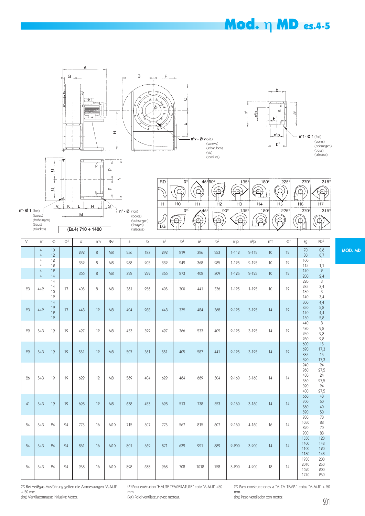### Mod. η MD es.4-5







7

 $\circ$ 





| V  | $n^{\circ}$                      | Φ                    | $\Phi$ <sup>1</sup> | d <sup>1</sup> | n°v | $\Phi$          | a   | b   | a <sup>1</sup> | b <sup>1</sup> | a <sup>2</sup> | b <sup>2</sup> | $n^{1}p$  | $n^2p$    | n°f              | $\Phi$ f | kg                                     | PD <sup>2</sup>                        |
|----|----------------------------------|----------------------|---------------------|----------------|-----|-----------------|-----|-----|----------------|----------------|----------------|----------------|-----------|-----------|------------------|----------|----------------------------------------|----------------------------------------|
|    | $\overline{4}$<br>$\overline{4}$ | 10<br>12             |                     | 292            | 8   | M8              | 256 | 183 | 292            | 219            | 326            | 253            | $1 - 112$ | $2 - 112$ | 10 <sup>10</sup> | 12       | $70\,$<br>80                           | 0,6<br>0,7                             |
|    | $\overline{4}$<br>$\overline{4}$ | 12<br>12             |                     | 332            | 8   | M <sub>8</sub>  | 288 | 205 | 332            | 249            | 368            | 285            | $1 - 125$ | $2 - 125$ | 10               | 12       | 100<br>115                             | $\mathbf{1}$<br>1,1                    |
|    | $\overline{4}$<br>$\overline{4}$ | 12<br>14             |                     | 366            | 8   | M <sup>8</sup>  | 322 | 229 | 366            | 273            | 402            | 309            | $1 - 125$ | $2 - 125$ | 10               | 12       | 140<br>200                             | $\, 2$<br>$\frac{2,4}{3}$              |
| 23 | $4 + 2$                          | 14<br>14<br>10<br>12 | 17                  | 405            | 8   | M8              | 361 | 256 | 405            | 300            | 441            | 336            | $1 - 125$ | $1 - 125$ | 10               | 12       | 220<br>235<br>130<br>140               | 3,4<br>$\mathfrak{Z}$<br>3,4           |
| 23 | $4 + 2$                          | 14<br>19<br>12<br>12 | 17                  | 448            | 19  | M <sup>8</sup>  | 404 | 288 | 448            | 332            | 484            | 368            | $2 - 125$ | $3 - 125$ | 14               | 12       | 300<br>350<br>140<br>150               | 4,4<br>5,8<br>4,4<br>5,8               |
| 29 | $5 + 3$                          | 19                   | 19                  | 497            | 12  | M8              | 453 | 322 | 497            | 366            | 533            | 409            | $2 - 125$ | $3 - 125$ | 14               | 12       | 440<br>480<br>250<br>260               | $\,8\,$<br>9,8<br>9,8<br>9,8           |
| 29 | $5 + 3$                          | 19                   | 19                  | 551            | 12  | M8              | 507 | 361 | 551            | 405            | 587            | 441            | $2 - 125$ | $3 - 125$ | 14               | 12       | 600<br>690<br>335<br>390               | 15<br>17,3<br>15<br>17,3               |
| 26 | $5 + 3$                          | 19                   | 19                  | 629            | 12  | M <sub>8</sub>  | 569 | 404 | 629            | 464            | 669            | 504            | $2 - 160$ | $3 - 160$ | 14               | 14       | 940<br>960<br>480<br>530<br>390<br>400 | 24<br>27,5<br>24<br>27,5<br>24<br>27,5 |
| 41 | $5 + 3$                          | 19                   | 19                  | 698            | 12  | M <sup>8</sup>  | 638 | 453 | 698            | 513            | 738            | 553            | $2 - 160$ | $3 - 160$ | 14               | 14       | 660<br>700<br>560<br>590               | 40<br>50<br>40<br>50                   |
| 54 | $5 + 3$                          | 24                   | 24                  | 775            | 16  | M10             | 715 | 507 | 775            | 567            | 815            | 607            | $2 - 160$ | $4 - 160$ | 16               | 14       | 980<br>1050<br>820<br>900              | 70<br>88<br>70<br>88                   |
| 54 | $5 + 3$                          | 24                   | 24                  | 861            | 16  | M <sub>10</sub> | 801 | 569 | 871            | 639            | 921            | 889            | $2 - 200$ | $3 - 200$ | 14               | 14       | 1350<br>1400<br>1100<br>1180           | 120<br>148<br>120<br>148               |
| 54 | $5 + 3$                          | 24                   | 24                  | 958            | 16  | M10             | 898 | 638 | 968            | 708            | 1018           | 758            | $3 - 200$ | $4 - 200$ | 18               | 14       | 1930<br>2010<br>1620<br>1740           | 200<br>250<br>200<br>250               |

(\*) Bei Heißgas-Ausführung gelten die Abmessungen "A-M-R"  $+50$  mm.

(kg) Ventilatormasse inklusive Motor.

(\*) Pour exécution "HAUTE TEMPERATURE" cote "A-M-R" +50 mm.

(kg) Poid ventilateur avec moteur.

(\*) Para construcciones a "ALTA TEMP." cotas "A-M-R" + 50 mm.

(kg) Peso ventilador con motor.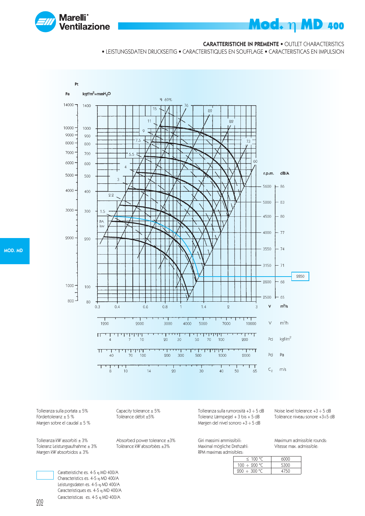

#### CARATTERISTICHE IN PREMENTE • OUTLET CHARACTERISTICS

• LEISTUNGSDATEN DRUCKSEITIG • CARACTERISTIQUES EN SOUFFLAGE • CARACTERISTICAS EN IMPULSION



Tolleranza sulla portata ± 5% Capacity tolerance ± 5%<br>Fördertoleranz ± 5 % Tolèrance débit ±5% Margen sobre el caudal  $\pm$  5 %

Toleranz Leistungsaufnahme  $\pm 3\%$ Margen kW absorbidos  $\pm 3\%$ 

Tolèrance débit ±5%

Tolleranza kW assorbiti ± 3% Absorbed power tolerance ±3%<br>Toleranz Leistungsaufnahme ± 3% Tolèrance kW absorbèes ±3%

Tolleranza sulla rumorosità +3 ÷ 5 dB Noise level tolerance +3 ÷ 5 dB Toleranz Lärmpegel +  $3$  bis +  $5$  dB Margen del nivel sonoro +3 ÷ 5 dB

Giri massimi ammissibili: Maximum admissible rounds: Maximal mögliche Drehzahl: RPM maximas admisibles:

| DIES:             |      |
|-------------------|------|
| < 100 °C          | 6000 |
| $100 \div 200$ °C | 5300 |
| $200 \div 300$ °C | 4750 |

MOD. MD

202

Caratteristiche es. 4-5 η MD 400/A Characteristics es. 4-5 η MD 400/A Leistungsdaten es. 4-5 η MD 400/A Caracteristiques es. 4-5 η MD 400/A Caracteristicas es. 4-5 η MD 400/A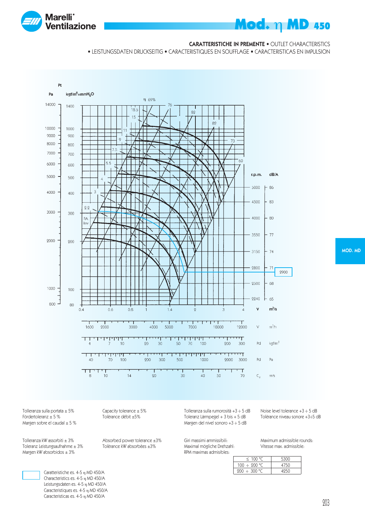

#### CARATTERISTICHE IN PREMENTE • OUTLET CHARACTERISTICS

• LEISTUNGSDATEN DRUCKSEITIG • CARACTERISTIQUES EN SOUFFLAGE • CARACTERISTICAS EN IMPULSION



MOD. MD

Tolleranza sulla portata  $\pm 5\%$ <br>
Fördertoleranz  $\pm 5\%$ <br>
Tolèrance débit  $\pm 5\%$ Margen sobre el caudal  $\pm$  5 %

Tolleranza kW assorbiti ± 3% Absorbed power tolerance ±3%<br>Toleranz Leistungsaufnahme ± 3% Tolèrance kW absorbèes ±3% Toleranz Leistungsaufnahme  $\pm 3\%$ Margen kW absorbidos  $\pm 3\%$ 

Tolèrance débit ±5%

Tolleranza sulla rumorosità +3  $\div$  5 dB Noise level tolerance +3  $\div$  5 dB<br>Toleranz Lärmpegel + 3 bis + 5 dB Tolèrance niveau sonore +3 $\div$ 5 dB Toleranz Lärmpegel +  $3$  bis +  $5$  dB Margen del nivel sonoro +3 ÷ 5 dB

Giri massimi ammissibili: Maximum admissible rounds:<br>Maximal mögliche Drehzahl: Vitesse max. admissible: Maximal mögliche Drehzahl: RPM maximas admisibles:

| $\leq$ 100 °C.    | 5300 |
|-------------------|------|
| $100 \div 200$ °C | 4750 |
| $200 \div 300$ °C | 4950 |

Caratteristiche es. 4-5 η MD 450/A Characteristics es. 4-5 η MD 450/A Leistungsdaten es. 4-5 η MD 450/A Caracteristiques es. 4-5 η MD 450/A Caracteristicas es. 4-5 η MD 450/A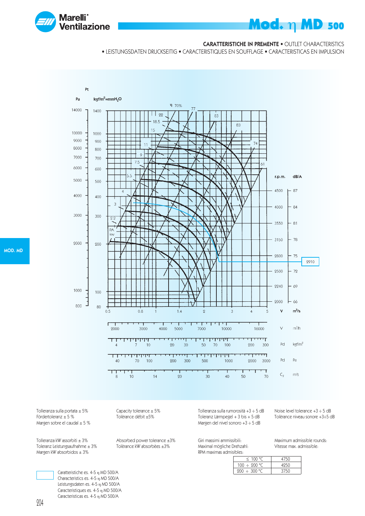

#### CARATTERISTICHE IN PREMENTE • OUTLET CHARACTERISTICS

• LEISTUNGSDATEN DRUCKSEITIG • CARACTERISTIQUES EN SOUFFLAGE • CARACTERISTICAS EN IMPULSION



Tolleranza sulla portata ± 5% Capacity tolerance ± 5%<br>Fördertoleranz ± 5 % Tolèrance débit ±5% Margen sobre el caudal  $\pm$  5 %

Toleranz Leistungsaufnahme  $\pm 3\%$ Margen kW absorbidos  $\pm 3\%$ 

Tolèrance débit ±5%

Tolleranza kW assorbiti ± 3% Absorbed power tolerance ±3%<br>Toleranz Leistungsaufnahme ± 3% Tolèrance kW absorbèes ±3%

Tolleranza sulla rumorosità +3 ÷ 5 dB Noise level tolerance +3 ÷ 5 dB Toleranz Lärmpegel +  $3$  bis +  $5$  dB Margen del nivel sonoro +3 ÷ 5 dB

Giri massimi ammissibili: Maximum admissible rounds: Maximal mögliche Drehzahl: RPM maximas admisibles:

| IUICS:            |      |
|-------------------|------|
| < 100 °C          | 4750 |
| $100 \div 200$ °C | 4950 |
| $200 \div 300$ °C | 3750 |

Caratteristiche es. 4-5 η MD 500/A Characteristics es. 4-5 η MD 500/A Leistungsdaten es. 4-5 η MD 500/A Caracteristiques es. 4-5 η MD 500/A Caracteristicas es. 4-5 η MD 500/A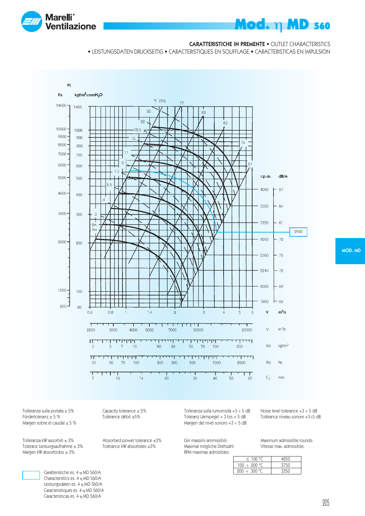

#### CARATTERISTICHE IN PREMENTE • OUTLET CHARACTERISTICS

• LEISTUNGSDATEN DRUCKSEITIG • CARACTERISTIQUES EN SOUFFLAGE • CARACTERISTICAS EN IMPULSION



Tolleranza sulla portata  $\pm 5\%$ <br>
Fördertoleranz  $\pm 5\%$ <br>
Tolèrance débit  $\pm 5\%$ Margen sobre el caudal  $\pm$  5 %

Tolleranza kW assorbiti ± 3% Absorbed power tolerance ±3%<br>Toleranz Leistungsaufnahme ± 3% Tolèrance kW absorbèes ±3% Toleranz Leistungsaufnahme  $\pm 3\%$ Margen kW absorbidos  $\pm 3\%$ 

> Caratteristiche es. 4 η MD 560/A Characteristics es. 4 η MD 560/A Leistungsdaten es. 4 η MD 560/A Caracteristiques es. 4 η MD 560/A Caracteristicas es. 4 η MD 560/A

Tolèrance débit ±5%

Tolleranza sulla rumorosità +3  $\div$  5 dB Noise level tolerance +3  $\div$  5 dB<br>Toleranz Lärmpegel + 3 bis + 5 dB Tolèrance niveau sonore +3 $\div$ 5 dB Toleranz Lärmpegel +  $3$  bis +  $5$  dB Margen del nivel sonoro +3 ÷ 5 dB

Giri massimi ammissibili: Maximum admissible rounds:<br>Maximal mögliche Drehzahl: Vitesse max. admissible: Maximal mögliche Drehzahl: RPM maximas admisibles:

| $\leq$ 100 °C     | 4950 |
|-------------------|------|
| $100 \div 200$ °C | 3750 |
| $200 \div 300$ °C | 3350 |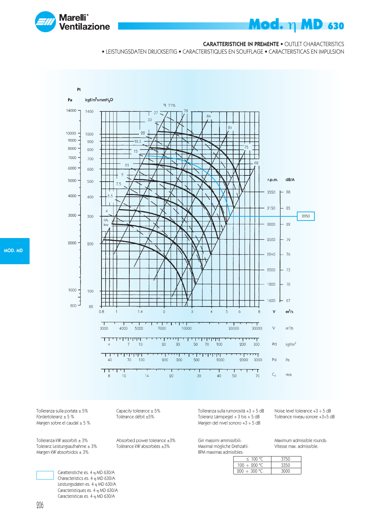

#### CARATTERISTICHE IN PREMENTE • OUTLET CHARACTERISTICS

• LEISTUNGSDATEN DRUCKSEITIG • CARACTERISTIQUES EN SOUFFLAGE • CARACTERISTICAS EN IMPULSION



Tolleranza sulla portata ± 5% Capacity tolerance ± 5%<br>Fördertoleranz ± 5 % Tolèrance débit ±5% Margen sobre el caudal  $\pm$  5 %

Toleranz Leistungsaufnahme  $\pm 3\%$ Margen kW absorbidos  $\pm 3\%$ 

Tolèrance débit ±5%

Tolleranza kW assorbiti ± 3% Absorbed power tolerance ±3%<br>Toleranz Leistungsaufnahme ± 3% Tolèrance kW absorbèes ±3%

Tolleranza sulla rumorosità +3 ÷ 5 dB Noise level tolerance +3 ÷ 5 dB Toleranz Lärmpegel +  $3$  bis +  $5$  dB Margen del nivel sonoro +3 ÷ 5 dB

Giri massimi ammissibili: Maximum admissible rounds: Maximal mögliche Drehzahl: RPM maximas admisibles:

| $\leq$ 100 °C     | 3750 |
|-------------------|------|
| $100 \div 200$ °C | 3350 |
| $200 \div 300$ °C | 3000 |
|                   |      |

Caratteristiche es. 4 η MD 630/A Characteristics es. 4 η MD 630/A Leistungsdaten es. 4 η MD 630/A Caracteristiques es. 4 η MD 630/A Caracteristicas es. 4 η MD 630/A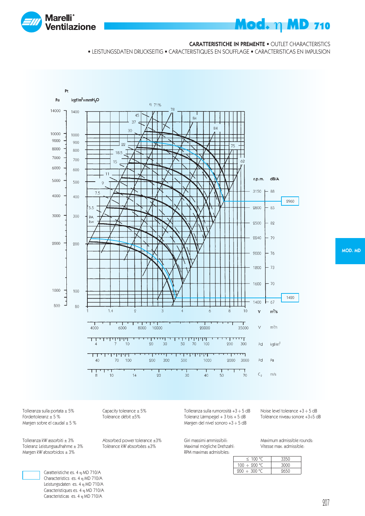

#### CARATTERISTICHE IN PREMENTE • OUTLET CHARACTERISTICS

• LEISTUNGSDATEN DRUCKSEITIG • CARACTERISTIQUES EN SOUFFLAGE • CARACTERISTICAS EN IMPULSION



MOD. MD

Tolleranza sulla portata  $\pm 5\%$ <br>
Fördertoleranz  $\pm 5\%$ <br>
Tolèrance débit  $\pm 5\%$ Margen sobre el caudal  $\pm$  5 %

Tolleranza kW assorbiti ± 3% Absorbed power tolerance ±3%<br>Toleranz Leistungsaufnahme ± 3% Tolèrance kW absorbèes ±3% Toleranz Leistungsaufnahme  $\pm 3\%$ Margen kW absorbidos  $\pm 3\%$ 

Tolèrance débit ±5%

Tolleranza sulla rumorosità +3  $\div$  5 dB Noise level tolerance +3  $\div$  5 dB<br>Toleranz Lärmpegel + 3 bis + 5 dB Tolèrance niveau sonore +3 $\div$ 5 dB Toleranz Lärmpegel +  $3$  bis +  $5$  dB Margen del nivel sonoro +3 ÷ 5 dB

Giri massimi ammissibili: Maximum admissible rounds:<br>Maximal mögliche Drehzahl: Vitesse max. admissible: Maximal mögliche Drehzahl: RPM maximas admisibles:

| $\leq$ 100 °C.    | 3350 |
|-------------------|------|
| $100 \div 200$ °C | 3000 |
| $200 \div 300$ °C | 9650 |

Caratteristiche es. 4 η MD 710/A Characteristics es. 4 η MD 710/A Leistungsdaten es. 4 η MD 710/A Caracteristiques es. 4 η MD 710/A Caracteristicas es. 4 η MD 710/A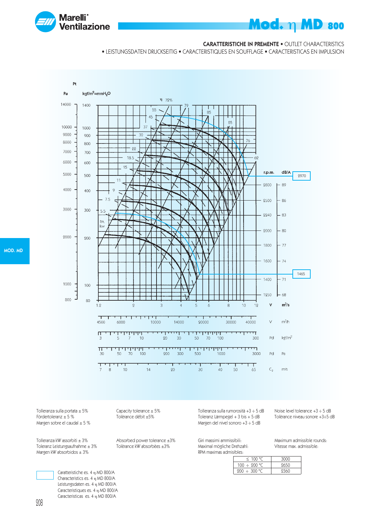

#### CARATTERISTICHE IN PREMENTE • OUTLET CHARACTERISTICS

• LEISTUNGSDATEN DRUCKSEITIG • CARACTERISTIQUES EN SOUFFLAGE • CARACTERISTICAS EN IMPULSION



MOD. MD

Tolleranza sulla portata ± 5% Capacity tolerance ± 5%<br>Fördertoleranz ± 5 % Tolèrance débit ±5% Margen sobre el caudal  $\pm$  5 %

Toleranz Leistungsaufnahme  $\pm 3\%$ Margen kW absorbidos  $\pm 3\%$ 

Tolèrance débit ±5%

Tolleranza kW assorbiti ± 3% Absorbed power tolerance ±3%<br>Toleranz Leistungsaufnahme ± 3% Tolèrance kW absorbèes ±3%

Toleranz Lärmpegel +  $3$  bis +  $5$  dB Margen del nivel sonoro +3 ÷ 5 dB

Giri massimi ammissibili: Maximum admissible rounds: Maximal mögliche Drehzahl: RPM maximas admisibles:

Tolleranza sulla rumorosità +3 ÷ 5 dB Noise level tolerance +3 ÷ 5 dB

 $\leq 100 °C$  3000  $100 \div 200 \, ^\circ \text{C}$  2650  $200 \div 300$  °C 2360

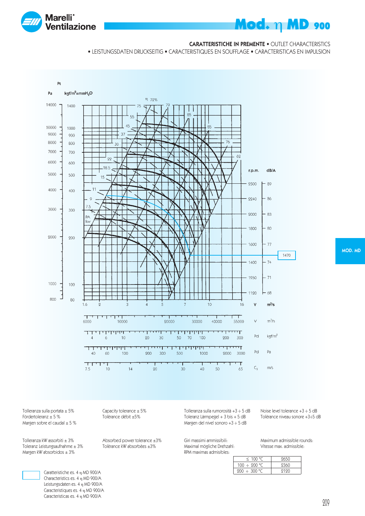

### CARATTERISTICHE IN PREMENTE • OUTLET CHARACTERISTICS

**Mod. η MD 900** 

• LEISTUNGSDATEN DRUCKSEITIG • CARACTERISTIQUES EN SOUFFLAGE • CARACTERISTICAS EN IMPULSION



MOD. MD

Tolleranza sulla portata  $\pm 5\%$ <br>
Fördertoleranz  $\pm 5\%$ <br>
Tolèrance débit  $\pm 5\%$ Margen sobre el caudal  $\pm$  5 %

Tolleranza kW assorbiti ± 3% Absorbed power tolerance ±3%<br>Toleranz Leistungsaufnahme ± 3% Tolèrance kW absorbèes ±3% Toleranz Leistungsaufnahme  $\pm 3\%$ Margen kW absorbidos  $\pm 3\%$ 

Tolèrance débit ±5%

Tolleranza sulla rumorosità +3  $\div$  5 dB Noise level tolerance +3  $\div$  5 dB<br>Toleranz Lärmpegel + 3 bis + 5 dB Tolèrance niveau sonore +3 $\div$ 5 dB Toleranz Lärmpegel +  $3$  bis +  $5$  dB Margen del nivel sonoro +3 ÷ 5 dB

Giri massimi ammissibili: Maximum admissible rounds:<br>Maximal mögliche Drehzahl: Vitesse max. admissible: Maximal mögliche Drehzahl: RPM maximas admisibles:

| $\leq$ 100 °C.    | 9650 |
|-------------------|------|
| $100 \div 200$ °C | 9360 |
| 200 ÷ 300 °C      | 9190 |

Caratteristiche es. 4 η MD 900/A Characteristics es. 4 η MD 900/A Leistungsdaten es. 4 η MD 900/A Caracteristiques es. 4 η MD 900/A Caracteristicas es. 4 η MD 900/A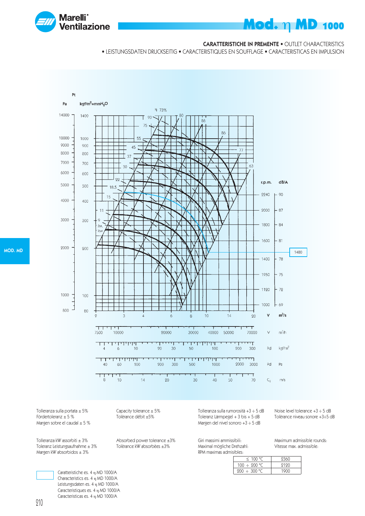

### CARATTERISTICHE IN PREMENTE • OUTLET CHARACTERISTICS

**Mod. η MD 1000** 

• LEISTUNGSDATEN DRUCKSEITIG • CARACTERISTIQUES EN SOUFFLAGE • CARACTERISTICAS EN IMPULSION



Tolleranza sulla portata ± 5% Capacity tolerance ± 5%<br>Fördertoleranz ± 5 % Tolèrance débit ±5% Margen sobre el caudal  $\pm$  5 %

Toleranz Leistungsaufnahme  $\pm 3\%$ Margen kW absorbidos  $\pm 3\%$ 

Tolèrance débit ±5%

Tolleranza kW assorbiti ± 3% Absorbed power tolerance ±3%<br>Toleranz Leistungsaufnahme ± 3% Tolèrance kW absorbèes ±3%

Tolleranza sulla rumorosità +3 ÷ 5 dB Noise level tolerance +3 ÷ 5 dB Toleranz Lärmpegel +  $3$  bis +  $5$  dB Margen del nivel sonoro +3 ÷ 5 dB

Giri massimi ammissibili: Maximum admissible rounds: Maximal mögliche Drehzahl: RPM maximas admisibles:

| OKS:              |      |
|-------------------|------|
| $\leq$ 100 °C     | 2360 |
| $100 \div 200$ °C | 9190 |
| $200 \div 300$ °C | 1900 |

MOD. MD

210

Caratteristiche es. 4 η MD 1000/A Characteristics es. 4 η MD 1000/A Leistungsdaten es. 4 η MD 1000/A Caracteristiques es. 4 η MD 1000/A Caracteristicas es. 4 η MD 1000/A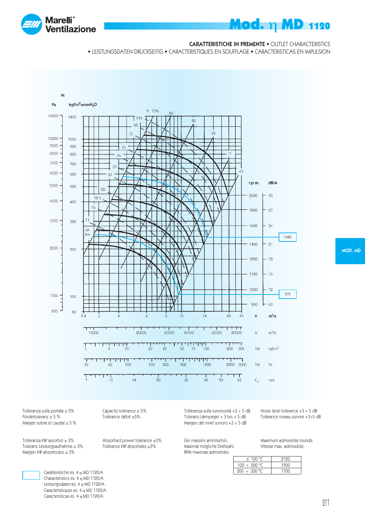

#### CARATTERISTICHE IN PREMENTE • OUTLET CHARACTERISTICS

• LEISTUNGSDATEN DRUCKSEITIG • CARACTERISTIQUES EN SOUFFLAGE • CARACTERISTICAS EN IMPULSION



MOD. MD

Tolleranza sulla portata  $\pm 5\%$ <br>
Fördertoleranz  $\pm 5\%$ <br>
Tolèrance débit  $\pm 5\%$ Margen sobre el caudal  $\pm$  5 %

Tolleranza kW assorbiti ± 3% Absorbed power tolerance ±3%<br>Toleranz Leistungsaufnahme ± 3% Tolèrance kW absorbèes ±3% Toleranz Leistungsaufnahme  $\pm 3\%$ Margen kW absorbidos  $\pm 3\%$ 

Tolèrance débit ±5%

Tolleranza sulla rumorosità +3  $\div$  5 dB Noise level tolerance +3  $\div$  5 dB<br>Toleranz Lärmpegel + 3 bis + 5 dB Tolèrance niveau sonore +3 $\div$ 5 dB Toleranz Lärmpegel +  $3$  bis +  $5$  dB Margen del nivel sonoro +3 ÷ 5 dB

Giri massimi ammissibili: Maximum admissible rounds:<br>Maximal mögliche Drehzahl: Vitesse max. admissible: Maximal mögliche Drehzahl: RPM maximas admisibles:

| < 100 °C          | 9190 |
|-------------------|------|
| $100 \div 200$ °C | 1900 |
| $200 \div 300$ °C | 1700 |

Caratteristiche es. 4 η MD 1120/A Characteristics es. 4 η MD 1120/A Leistungsdaten es. 4 η MD 1120/A Caracteristiques es. 4 η MD 1120/A Caracteristicas es. 4 η MD 1120/A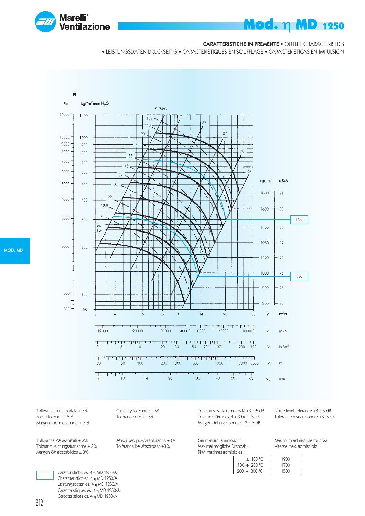

### CARATTERISTICHE IN PREMENTE • OUTLET CHARACTERISTICS

**Mod. η MD 1250** 

• LEISTUNGSDATEN DRUCKSEITIG • CARACTERISTIQUES EN SOUFFLAGE • CARACTERISTICAS EN IMPULSION



Tolleranza sulla portata ± 5% Capacity tolerance ± 5%<br>Fördertoleranz ± 5 % Tolèrance débit ±5% Margen sobre el caudal  $\pm$  5 %

Toleranz Leistungsaufnahme  $\pm 3\%$ Margen kW absorbidos  $\pm 3\%$ 

Tolèrance débit ±5%

Tolleranza kW assorbiti ± 3% Absorbed power tolerance ±3%<br>Toleranz Leistungsaufnahme ± 3% Tolèrance kW absorbèes ±3%

Tolleranza sulla rumorosità +3 ÷ 5 dB Noise level tolerance +3 ÷ 5 dB Toleranz Lärmpegel +  $3$  bis +  $5$  dB Margen del nivel sonoro +3 ÷ 5 dB

Giri massimi ammissibili: Maximum admissible rounds: Maximal mögliche Drehzahl: RPM maximas admisibles:

| JKS:              |      |
|-------------------|------|
| $\leq$ 100 °C.    | 1900 |
| $100 \div 200$ °C | 1700 |
| $200 \div 300$ °C | 1500 |

MOD. MD

Caratteristiche es. 4 η MD 1250/A Characteristics es. 4 η MD 1250/A Leistungsdaten es. 4 η MD 1250/A Caracteristiques es. 4 η MD 1250/A Caracteristicas es. 4 η MD 1250/A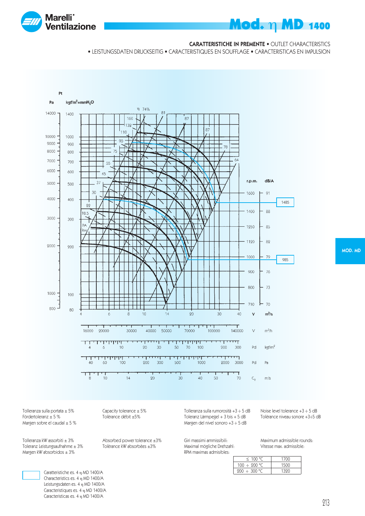

#### CARATTERISTICHE IN PREMENTE • OUTLET CHARACTERISTICS

• LEISTUNGSDATEN DRUCKSEITIG • CARACTERISTIQUES EN SOUFFLAGE • CARACTERISTICAS EN IMPULSION



MOD. MD

Tolleranza sulla portata  $\pm 5\%$ <br>
Fördertoleranz  $\pm 5\%$ <br>
Tolèrance débit  $\pm 5\%$ Margen sobre el caudal  $\pm$  5 %

Tolleranza kW assorbiti ± 3% Absorbed power tolerance ±3%<br>Toleranz Leistungsaufnahme ± 3% Tolèrance kW absorbèes ±3% Toleranz Leistungsaufnahme  $\pm 3\%$ Margen kW absorbidos  $\pm 3\%$ 

Tolèrance débit ±5%

Tolleranza sulla rumorosità +3  $\div$  5 dB Noise level tolerance +3  $\div$  5 dB<br>Toleranz Lärmpegel + 3 bis + 5 dB Tolèrance niveau sonore +3 $\div$ 5 dB Toleranz Lärmpegel +  $3$  bis +  $5$  dB Margen del nivel sonoro +3 ÷ 5 dB

Giri massimi ammissibili: Maximum admissible rounds:<br>Maximal mögliche Drehzahl: Vitesse max. admissible: Maximal mögliche Drehzahl: RPM maximas admisibles:

| < 100 °C          | 1700 |
|-------------------|------|
| $100 \div 200$ °C | 1500 |
| $200 \div 300$ °C | 1390 |

Caratteristiche es. 4 η MD 1400/A Characteristics es. 4 η MD 1400/A Leistungsdaten es. 4 η MD 1400/A Caracteristiques es. 4 η MD 1400/A Caracteristicas es. 4 η MD 1400/A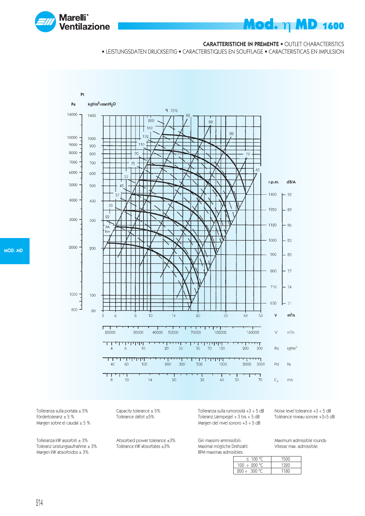

#### CARATTERISTICHE IN PREMENTE • OUTLET CHARACTERISTICS

• LEISTUNGSDATEN DRUCKSEITIG • CARACTERISTIQUES EN SOUFFLAGE • CARACTERISTICAS EN IMPULSION



Tolleranza sulla portata ± 5% Capacity tolerance ± 5%<br>Fördertoleranz ± 5 % Tolèrance débit ±5% Margen sobre el caudal  $\pm$  5 %

Tolleranza kW assorbiti ± 3% Absorbed power tolerance ±3%<br>Toleranz Leistungsaufnahme ± 3% Tolèrance kW absorbèes ±3% Toleranz Leistungsaufnahme  $\pm 3\%$ Margen kW absorbidos  $\pm 3\%$ 

Tolèrance débit ±5%

Tolleranza sulla rumorosità +3 ÷ 5 dB Noise level tolerance +3 ÷ 5 dB Toleranz Lärmpegel +  $3$  bis +  $5$  dB Margen del nivel sonoro +3 ÷ 5 dB

Giri massimi ammissibili: Maximum admissible rounds: Maximal mögliche Drehzahl: RPM maximas admisibles:

| 11CS:             |      |
|-------------------|------|
| $\leq$ 100 °C     | 1500 |
| $100 \div 200$ °C | 1320 |
| 200÷ 300 °C       | 1180 |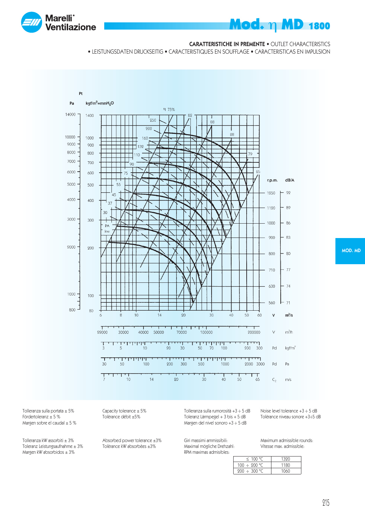

#### CARATTERISTICHE IN PREMENTE • OUTLET CHARACTERISTICS

• LEISTUNGSDATEN DRUCKSEITIG • CARACTERISTIQUES EN SOUFFLAGE • CARACTERISTICAS EN IMPULSION



Tolleranza sulla portata  $\pm 5\%$ <br>
Fördertoleranz  $\pm 5\%$ <br>
Tolèrance débit  $\pm 5\%$ Margen sobre el caudal  $\pm$  5 %

Tolleranza kW assorbiti ± 3% Absorbed power tolerance ±3%<br>Toleranz Leistungsaufnahme ± 3% Tolèrance kW absorbèes ±3% Toleranz Leistungsaufnahme  $\pm 3\%$ Margen kW absorbidos  $\pm 3\%$ 

Tolèrance débit ±5%

Tolleranza sulla rumorosità +3  $\div$  5 dB Noise level tolerance +3  $\div$  5 dB<br>Toleranz Lärmpegel + 3 bis + 5 dB Tolèrance niveau sonore +3 $\div$ 5 dB Toleranz Lärmpegel +  $3$  bis +  $5$  dB Margen del nivel sonoro +3 ÷ 5 dB

Giri massimi ammissibili: Maximum admissible rounds:<br>Maximal mögliche Drehzahl: Vitesse max. admissible: Maximal mögliche Drehzahl: RPM maximas admisibles:

| $\leq$ 100 °C.           | 1320 |
|--------------------------|------|
| $100 \div 200$ °C        | 1180 |
| $200 \div 300^{\circ}$ C | 1060 |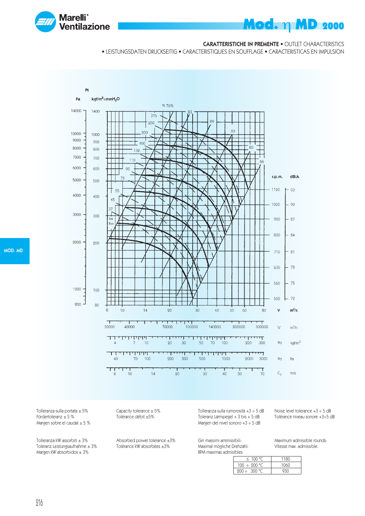

#### CARATTERISTICHE IN PREMENTE • OUTLET CHARACTERISTICS

• LEISTUNGSDATEN DRUCKSEITIG • CARACTERISTIQUES EN SOUFFLAGE • CARACTERISTICAS EN IMPULSION



Tolleranza sulla portata ± 5% Capacity tolerance ± 5%<br>Fördertoleranz ± 5 % Tolèrance débit ±5% Margen sobre el caudal  $\pm$  5 %

Tolleranza kW assorbiti ± 3% Absorbed power tolerance ±3%<br>Toleranz Leistungsaufnahme ± 3% Tolèrance kW absorbèes ±3% Toleranz Leistungsaufnahme  $\pm 3\%$ Margen kW absorbidos  $\pm 3\%$ 

Tolèrance débit ±5%

Tolleranza sulla rumorosità +3 ÷ 5 dB Noise level tolerance +3 ÷ 5 dB Toleranz Lärmpegel +  $3$  bis +  $5$  dB Margen del nivel sonoro +3 ÷ 5 dB

Maximal mögliche Drehzahl: RPM maximas admisibles:

Giri massimi ammissibili: Maximum admissible rounds:

| 11CS:             |      |
|-------------------|------|
| < 100 °C          | 1180 |
| $100 \div 200$ °C | 1060 |
| $200 \div 300$ °C | 930  |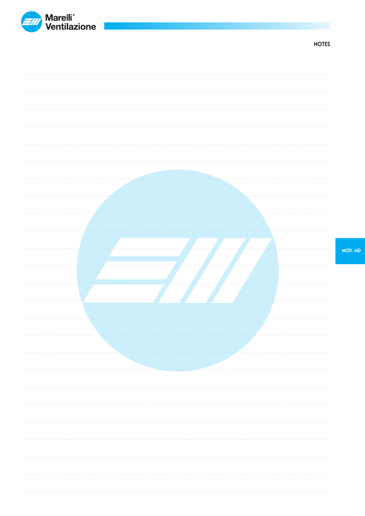

NOTES

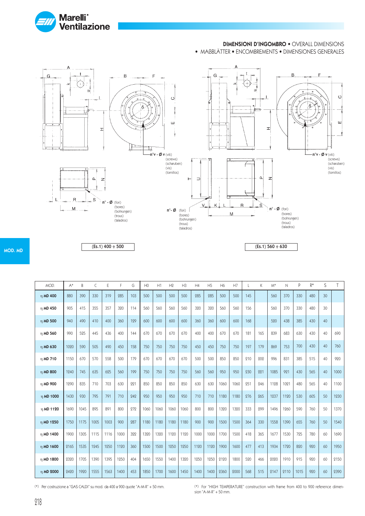

#### DIMENSIONI D'INGOMBRO • OVERALL DIMENSIONS

• MAßBLÄTTER • ENCOMBREMENTS • DIMENSIONES GENERALES



MOD. MD

 $(Es.1)$  400  $\div$  500

| MOD.          | $A^*$ | B    | C    | E    | F    | G   | H <sub>0</sub> | H1   | H <sub>2</sub> | H <sub>3</sub> | H4   | H <sub>5</sub> | H <sub>6</sub> | H7   |     | K   | $M^*$ | $\mathsf{N}$ | P    | $R^*$ | S  | T    |
|---------------|-------|------|------|------|------|-----|----------------|------|----------------|----------------|------|----------------|----------------|------|-----|-----|-------|--------------|------|-------|----|------|
| η MD 400      | 880   | 390  | 330  | 319  | 285  | 103 | 500            | 500  | 500            | 500            | 285  | 285            | 500            | 500  | 145 |     | 560   | 370          | 330  | 480   | 30 |      |
| $\eta$ MD 450 | 905   | 415  | 355  | 357  | 320  | 114 | 560            | 560  | 560            | 560            | 320  | 320            | 560            | 560  | 156 |     | 560   | 370          | 330  | 480   | 30 |      |
| η MD 500      | 940   | 490  | 410  | 400  | 360  | 129 | 600            | 600  | 600            | 600            | 360  | 360            | 600            | 600  | 168 |     | 520   | 438          | 385  | 430   | 40 |      |
| η MD 560      | 990   | 525  | 445  | 436  | 400  | 144 | 670            | 670  | 670            | 670            | 400  | 400            | 670            | 670  | 181 | 165 | 839   | 683          | 630  | 430   | 40 | 690  |
| η MD 630      | 1020  | 590  | 505  | 490  | 450  | 158 | 750            | 750  | 750            | 750            | 450  | 450            | 750            | 750  | 197 | 179 | 869   | 753          | 700  | 430   | 40 | 760  |
| $\eta$ MD 710 | 1150  | 670  | 570  | 558  | 500  | 179 | 670            | 670  | 670            | 670            | 500  | 500            | 850            | 850  | 210 | 202 | 996   | 831          | 385  | 515   | 40 | 920  |
| $\eta$ MD 800 | 1240  | 745  | 635  | 625  | 560  | 199 | 750            | 750  | 750            | 750            | 560  | 560            | 950            | 950  | 230 | 221 | 1085  | 921          | 430  | 565   | 40 | 1000 |
| η MD 900      | 1290  | 835  | 710  | 703  | 630  | 221 | 850            | 850  | 850            | 850            | 630  | 630            | 1060           | 1060 | 251 | 246 | 1128  | 1021         | 480  | 565   | 40 | 1100 |
| η MD 1000     | 1430  | 930  | 795  | 791  | 710  | 242 | 950            | 950  | 950            | 950            | 710  | 710            | 1180           | 1180 | 276 | 265 | 1237  | 1120         | 530  | 605   | 50 | 1230 |
| η MD 1120     | 1690  | 1045 | 895  | 891  | 800  | 272 | 1060           | 1060 | 1060           | 1060           | 800  | 800            | 1320           | 1320 | 333 | 299 | 1496  | 1260         | 590  | 760   | 50 | 1370 |
| n MD 1250     | 1750  | 1175 | 1005 | 1003 | 900  | 287 | 1180           | 1180 | 1180           | 1180           | 900  | 900            | 1500           | 1500 | 364 | 330 | 1558  | 1390         | 655  | 760   | 50 | 1540 |
| η MD 1400     | 1900  | 1305 | 1115 | 1116 | 1000 | 322 | 1320           | 1320 | 1120           | 1120           | 1000 | 1000           | 1700           | 1500 | 418 | 365 | 1677  | 1530         | 725  | 780   | 60 | 1690 |
| η MD 1600     | 2165  | 1535 | 1245 | 1250 | 1120 | 360 | 1500           | 1500 | 1250           | 1250           | 1120 | 1120           | 1900           | 1600 | 477 | 413 | 1934  | 1720         | 820  | 920   | 60 | 1950 |
| η MD 1800     | 2320  | 1705 | 1390 | 1395 | 1250 | 404 | 1650           | 1550 | 1400           | 1320           | 1250 | 1250           | 2120           | 1800 | 520 | 466 | 2020  | 1910         | 915  | 990   | 60 | 2150 |
| η MD 2000     | 2420  | 1920 | 1555 | 1563 | 1400 | 453 | 1850           | 1700 | 1600           | 1450           | 1400 | 1400           | 2360           | 2000 | 568 | 515 | 2147  | 2110         | 1015 | 920   | 60 | 2390 |

(\*) Per costruzione a "GAS CALDI" su mod. da 400 a 900 quote "A-M-R" + 50 mm. (\*) For "HIGH TEMPERATURE" construction with frame from 400 to 900 reference dimension "A-M- $R$ " + 50 mm.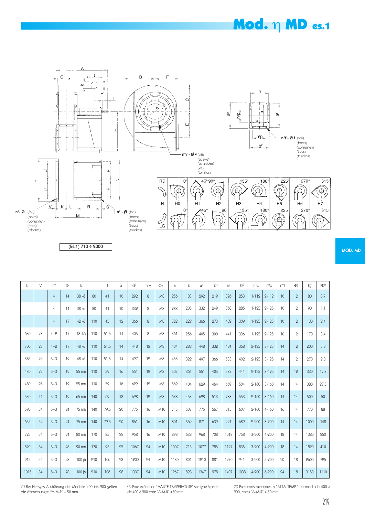### **Mod.** η MD es.1











 $(Es.1)$  710  $\div$  2000

| $\cup$ | $\vee$ | $n^{\circ}$    | $\Phi$ | $\mathsf k$       |     | t    | u. | d <sup>1</sup> | $n^{\circ}$ | Φv  | a    | b   | a <sup>1</sup> | b <sup>1</sup> | a <sup>2</sup> | b <sup>2</sup> | $n^{1}p$  | $n^2p$    | n°f | Φf | kg   | PD <sup>2</sup> |
|--------|--------|----------------|--------|-------------------|-----|------|----|----------------|-------------|-----|------|-----|----------------|----------------|----------------|----------------|-----------|-----------|-----|----|------|-----------------|
|        |        |                |        |                   |     |      |    |                |             |     |      |     |                |                |                |                |           |           |     |    |      |                 |
|        |        | $\overline{4}$ | 14     | 38 k6             | 80  | 41   | 10 | 292            | 8           | M8  | 256  | 183 | 292            | 219            | 326            | 253            | $1 - 112$ | $2 - 112$ | 10  | 12 | 80   | 0,7             |
|        |        | $\overline{4}$ | 14     | 38 k6             | 80  | 41   | 10 | 332            | 8           | M8  | 288  | 205 | 332            | 249            | 368            | 285            | $1 - 125$ | $2 - 125$ | 10  | 12 | 90   | 1,1             |
|        |        | $\overline{4}$ | 17     | 42 k6             | 110 | 45   | 12 | 366            | 8           | M8  | 322  | 229 | 366            | 273            | 402            | 309            | $1 - 125$ | $2 - 125$ | 10  | 12 | 130  | 2,4             |
| 630    | 23     | $4 + 2$        | 17     | 48 k6             | 110 | 51,5 | 14 | 405            | 8           | M8  | 361  | 256 | 405            | 300            | 441            | 336            | $1 - 125$ | $2 - 125$ | 10  | 12 | 170  | 3,4             |
| 700    | 23     | $4 + 2$        | 17     | 48 k6             | 110 | 51,5 | 14 | 448            | 19          | M8  | 404  | 988 | 448            | 332            | 484            | 368            | $2 - 125$ | $3 - 125$ | 14  | 19 | 200  | 5,8             |
| 385    | 29     | $5 + 3$        | 19     | 48 k6             | 110 | 51,5 | 14 | 497            | 12          | M8  | 453  | 322 | 497            | 366            | 533            | 402            | $2 - 125$ | $3 - 125$ | 14  | 12 | 270  | 9,8             |
| 430    | 29     | $5 + 3$        | 19     | 55 m6             | 110 | 59   | 16 | 551            | 12          | M8  | 507  | 361 | 551            | 405            | 587            | 441            | $2 - 125$ | $3 - 125$ | 14  | 12 | 330  | 17,3            |
| 480    | 26     | $5 + 3$        | 19     | 55 m6             | 110 | 59   | 16 | 629            | 19          | M8  | 569  | 404 | 629            | 464            | 669            | 504            | $2 - 160$ | $3 - 160$ | 14  | 14 | 380  | 27,5            |
| 530    | 41     | $5 + 3$        | 19     | 65 m6             | 140 | 69   | 18 | 698            | 12          | M8  | 638  | 453 | 698            | 513            | 738            | 553            | $2 - 160$ | $3 - 160$ | 14  | 14 | 500  | 50              |
| 590    | 54     | $5 + 3$        | 94     | 75 m <sub>6</sub> | 140 | 79,5 | 20 | 775            | 16          | M10 | 715  | 507 | 775            | 567            | 815            | 607            | $2 - 160$ | $4 - 160$ | 16  | 14 | 770  | 88              |
| 655    | 54     | $5 + 3$        | 94     | 75 m <sub>6</sub> | 140 | 79,5 | 20 | 861            | 16          | M10 | 801  | 569 | 871            | 639            | 921            | 689            | $2 - 200$ | $3 - 200$ | 14  | 14 | 1000 | 148             |
| 725    | 54     | $5 + 3$        | 24     | 80 m <sub>6</sub> | 170 | 85   | 22 | 958            | 16          | M10 | 898  | 638 | 968            | 708            | 1018           | 758            | $3 - 200$ | 4-200     | 18  | 14 | 1380 | 250             |
| 820    | 64     | $5 + 3$        | 98     | 90 m <sub>6</sub> | 170 | 95   | 25 | 1067           | 24          | M10 | 1007 | 715 | 1077           | 785            | 1127           | 835            | $3 - 200$ | $4 - 200$ | 18  | 14 | 1820 | 410             |
| 915    | 54     | $5 + 3$        | 98     | 100 j6            | 210 | 106  | 28 | 1200           | 24          | M10 | 1130 | 801 | 1210           | 881            | 1270           | 941            | $3 - 200$ | $5 - 200$ | 20  | 18 | 2600 | 725             |
| 1015   | 84     | $5 + 3$        | 28     | 100 j6            | 210 | 106  | 28 | 1337           | 24          | M10 | 1267 | 898 | 1347           | 978            | 1407           | 1038           | $4 - 200$ | $6 - 200$ | 24  | 18 | 3150 | 1110            |

(\*) Bei Heißgas-Ausführung der Modelle 400 bis 900 gelten die Abmessungen "A-M-R" + 50 mm.

(\*) Pour exécution "HAUTE TEMPERATURE" sur type à partir de 400 à 900 cote "A-M-R" +50 mm.

(\*) Para construcciones a "ALTA TEMP." en mod. de 400 a 900, cotas "A-M-R" + 50 mm.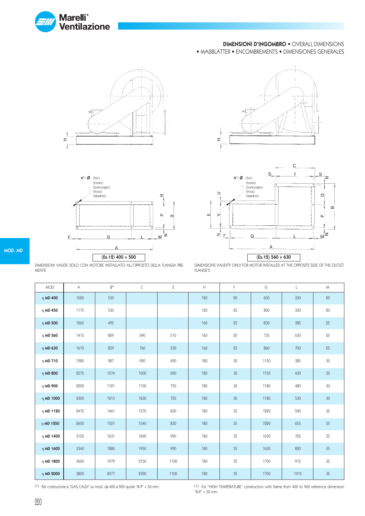

### DIMENSIONI D'INGOMBRO • OVERALL DIMENSIONS

• MAßBLÄTTER • ENCOMBREMENTS • DIMENSIONES GENERALES









DIMENSIONI VALIDE SOLO CON MOTORE INSTALLATO ALL'OPPOSTO DELLA FLANGIA PRE-MENTE

DIMENSIONS VALIDITY ONLY FOR MOTOR INSTALLED AT THE OPPOSITE SIDE OF THE OUTLET FLANGE'S

| MOD.           | Α    | $B*$ | C    | Ε    | $\mathsf{H}% _{\mathsf{H}}^{\ast}(\mathcal{M}_{0})$ | F      | G    | $\mathsf{L}$ | M      |
|----------------|------|------|------|------|-----------------------------------------------------|--------|------|--------------|--------|
| $η$ MD 400     | 1020 | 530  |      |      | 120                                                 | 20     | 650  | 330          | 20     |
| η MD 450       | 1175 | 530  |      |      | 120                                                 | 25     | 800  | 330          | $20\,$ |
| $η$ MD 500     | 1265 | 495  |      |      | 160                                                 | 25     | 830  | 385          | 25     |
| $η$ MD 560     | 1415 | 829  | 690  | 510  | 160                                                 | 25     | 735  | 630          | 25     |
| $η$ MD 630     | 1610 | 859  | 760  | 530  | 160                                                 | 25     | 860  | 700          | 25     |
| $\eta$ MD 710  | 1980 | 987  | 920  | 690  | 180                                                 | 30     | 1150 | 385          | 30     |
| $η$ MD 800     | 2070 | 1074 | 1000 | 690  | 180                                                 | $30\,$ | 1150 | 430          | $30\,$ |
| η MD 900       | 2200 | 1121 | 1100 | 750  | 180                                                 | 30     | 1180 | 480          | 30     |
| $η$ MD 1000    | 2300 | 1213 | 1230 | 755  | 180                                                 | $30\,$ | 1180 | 530          | $30\,$ |
| $\eta$ MD 1120 | 2470 | 1461 | 1370 | 830  | 180                                                 | 35     | 1220 | 590          | 35     |
| η MD 1250      | 2600 | 1521 | 1540 | 830  | 180                                                 | $35\,$ | 1220 | 655          | $35\,$ |
| η MD 1400      | 3150 | 1631 | 1690 | 990  | 180                                                 | 35     | 1630 | 725          | 35     |
| η MD 1600      | 3340 | 1880 | 1950 | 990  | 180                                                 | 35     | 1630 | 820          | 35     |
| η MD 1800      | 3600 | 1979 | 2150 | 1100 | 180                                                 | 35     | 1700 | 915          | 35     |
| η MD 2000      | 3800 | 2077 | 2390 | 1100 | 180                                                 | 35     | 1700 | 1015         | $35\,$ |

(\*) Per costruzione a "GAS CALDI" su mod. da 400 a 900 quote "B-P" + 50 mm. (\*) For "HIGH TEMPERATURE" construction with frame from 400 to 900 reference dimension  $B-P'' + 50$  mm.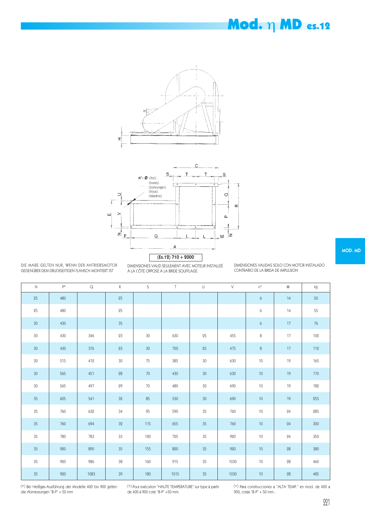### Mod. η MD es.12





DIE MAßE GELTEN NUR, WENN DER ANTRIEBSMOTOR GEGENÜBER DEM DRUCKSEITIGEN FLANSCH MONTIERT IST

DIMENSIONES VALID SEULEMENT AVEC MOTEUR INSTALLEÉ À LA CÔTÉ OPPOSÉ À LA BRIDE SOUFFLAGE

DIMENSIONES VALIDAS SOLO CON MOTOR INSTALADO CONTRARIO DE LA BRIDA DE IMPULSION

| $\mathsf{N}$    | p*  | $\hbox{\large \bf Q}$ | ${\mathsf R}$ | S      | $\mathsf{T}$ | $\mathsf{U}% _{T}=\mathsf{U}_{T}\!\left( a,b\right) ,\ \mathsf{U}_{T}=\mathsf{U}_{T}\!\left( a,b\right) ,$ | V    | $n^{\circ}$      | $\Phi$     | $\mathsf{k}\mathsf{g}$ |
|-----------------|-----|-----------------------|---------------|--------|--------------|------------------------------------------------------------------------------------------------------------|------|------------------|------------|------------------------|
| $25\,$          | 480 |                       | 25            |        |              |                                                                                                            |      | 6                | 14         | 50                     |
| $25\,$          | 480 |                       | $25\,$        |        |              |                                                                                                            |      | 6                | 14         | 55                     |
| 30 <sup>°</sup> | 430 |                       | 35            |        |              |                                                                                                            |      | $\boldsymbol{6}$ | 17         | $76\,$                 |
| 30              | 430 | 346                   | 23            | 30     | 630          | 25                                                                                                         | 455  | 8                | 17         | 102                    |
| 30 <sup>°</sup> | 430 | 376                   | 23            | 30     | 700          | 25                                                                                                         | 475  | $\,8\,$          | 17         | 112                    |
| 30              | 515 | 412                   | 30            | 75     | 385          | $30\,$                                                                                                     | 630  | $10$             | 19         | 165                    |
| $30\,$          | 565 | 451                   | ${\bf 28}$    | $70\,$ | 430          | 30                                                                                                         | 630  | 10 <sup>°</sup>  | 19         | 170                    |
| 30              | 565 | 497                   | 29            | 70     | 480          | $30\,$                                                                                                     | 690  | 10               | 19         | 182                    |
| $35\,$          | 605 | 541                   | 32            | 85     | 530          | $30\,$                                                                                                     | 690  | $10$             | 19         | 255                    |
| 35              | 760 | 632                   | 34            | 95     | 590          | 35                                                                                                         | 760  | $10$             | 24         | 285                    |
| $35\,$          | 760 | 694                   | 32            | 115    | 655          | 35                                                                                                         | 760  | $10$             | 24         | 300                    |
| $35\,$          | 780 | 783                   | 33            | 120    | 725          | 35                                                                                                         | 920  | 10               | 24         | 350                    |
| 35              | 920 | 890                   | 35            | 155    | 820          | 35                                                                                                         | 920  | 10               | 28         | 380                    |
| 35              | 920 | 986                   | 38            | 160    | 915          | 35                                                                                                         | 1030 | 10               | ${\bf 28}$ | 460                    |
| $35\,$          | 920 | 1083                  | 39            | 180    | 1015         | 35                                                                                                         | 1030 | 10               | 28         | 485                    |

(\*) Bei Heißgas-Ausführung der Modelle 400 bis 900 gelten die Abmessungen "B-P" + 50 mm

(\*) Pour exécution "HAUTE TEMPERATURE" sur type à partir de 400 à 900 cote "B-P" +50 mm.

(\*) Para construcciones a "ALTA TEMP." en mod. de 400 a 900, cotas "B-P" + 50 mm..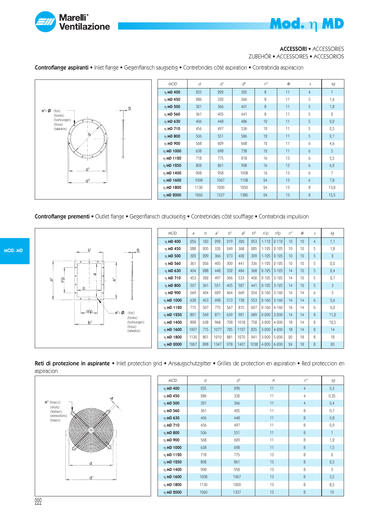

### ACCESSORI • ACCESSORIES

Mod. η MD

ZUBEHÖR • ACCESSOIRES • ACCESORIOS

Controflange aspiranti • Inlet flange • Gegenflansch saugseitig • Contrebrides côté aspiration • Contrabrida aspiracion



Controflange prementi • Outlet flange • Gegenflansch druckseitig • Contrebrides côté soufflage • Contrabrida impulsion



| MOD.           | a    | b   | a <sup>1</sup> | b <sup>1</sup> | $a^2$ | $b^2$ | $n^1$ p   | $n^2$ p   | $n^{\circ}$     | $\Phi$ | S              | kg       |
|----------------|------|-----|----------------|----------------|-------|-------|-----------|-----------|-----------------|--------|----------------|----------|
| $\eta$ MD 400  | 256  | 183 | 292            | 219            | 326   | 253   | $1 - 112$ | $2 - 112$ | 10 <sup>°</sup> | 12     | $\overline{4}$ | 1,1      |
| η MD 450       | 288  | 205 | 332            | 249            | 368   | 285   | $1 - 125$ | $2 - 125$ | 10              | 12     | 5              | 1,8      |
| $\eta$ MD 500  | 322  | 229 | 366            | 273            | 402   | 309   | $1 - 125$ | $2 - 125$ | 10              | 12     | 5              | $\Omega$ |
| η MD 560       | 361  | 256 | 405            | 300            | 441   | 336   | $1 - 125$ | $2 - 125$ | 10              | 12     | 5              | 2,2      |
| n MD 630       | 404  | 288 | 448            | 332            | 484   | 368   | $2 - 125$ | $3 - 125$ | 14              | 12     | 5              | 2,4      |
| $\eta$ MD 710  | 453  | 322 | 497            | 366            | 533   | 402   | $2 - 125$ | $3 - 125$ | 14              | 12     | 5              | 2,7      |
| $\eta$ MD 800  | 507  | 361 | 551            | 405            | 587   | 441   | $2 - 125$ | $3 - 125$ | 14              | 12     | 5              | 3        |
| η MD 900       | 569  | 404 | 629            | 464            | 669   | 504   | $2 - 160$ | $3 - 160$ | 14              | 14     | 6              | 5        |
| $\eta$ MD 1000 | 638  | 453 | 698            | 513            | 738   | 553   | $2 - 160$ | $3 - 160$ | 14              | 14     | 6              | 5,6      |
| $\eta$ MD 1120 | 715  | 507 | 775            | 567            | 815   | 607   | $2 - 160$ | $4 - 160$ | 16              | 14     | 6              | 6,2      |
| n MD 1250      | 801  | 569 | 871            | 639            | 921   | 689   | $2 - 200$ | $3 - 200$ | 14              | 14     | 8              | 11,2     |
| $\eta$ MD 1400 | 898  | 638 | 968            | 708            | 1018  | 758   | $3 - 200$ | 4-200     | 18              | 14     | 8              | 12,5     |
| n MD 1600      | 1007 | 715 | 1077           | 785            | 1127  | 835   | $3 - 200$ | $4 - 200$ | 18              | 14     | 8              | 14       |
| n MD 1800      | 1130 | 801 | 1210           | 881            | 1270  | 941   | $3 - 200$ | 5-200     | 20              | 18     | 8              | 18       |
| η MD 2000      | 1267 | 898 | 1347           | 978            | 1407  | 1038  | 4-200     | $6 - 200$ | 24              | 18     | 8              | 20       |

Reti di protezione in aspirante • Inlet protection grid • Ansaugschutzgitter • Grilles de protection en aspiration • Red proteccion en aspiracion



| MOD.           | d    | $d^\dagger$ | Α  | $n^{\circ}$      | kg             |
|----------------|------|-------------|----|------------------|----------------|
| $η$ MD 400     | 255  | 292         | 11 | $\overline{4}$   | 0,3            |
| η MD 450       | 286  | 332         | 11 | $\overline{4}$   | 0,35           |
| $\eta$ MD 500  | 321  | 366         | 11 | $\overline{4}$   | 0,4            |
| $\eta$ MD 560  | 361  | 405         | 11 | 8                | 0,7            |
| $\eta$ MD 630  | 406  | 448         | 11 | 8                | 0,8            |
| $\eta$ MD 710  | 456  | 497         | 11 | 8                | 0,9            |
| $\eta$ MD 800  | 506  | 551         | 11 | 8                | $\mathbf{1}$   |
| η MD 900       | 568  | 629         | 11 | 8                | 1,2            |
| $\eta$ MD 1000 | 638  | 698         | 11 | 8                | 1,5            |
| $\eta$ MD 1120 | 718  | 775         | 13 | 8                | $\overline{2}$ |
| η MD 1250      | 808  | 861         | 13 | 8                | 2,5            |
| η MD 1400      | 908  | 958         | 13 | 8                | 3              |
| η MD 1600      | 1008 | 1067        | 13 | 8                | 3,5            |
| η MD 1800      | 1130 | 1200        | 13 | 8                | 8,5            |
| η MD 2000      | 1260 | 1337        | 13 | $\boldsymbol{8}$ | 10             |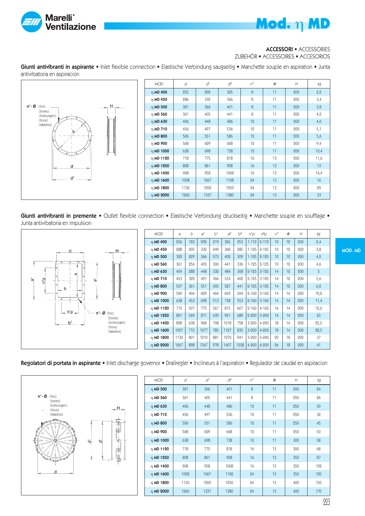



### ACCESSORI • ACCESSORIES

ZUBEHÖR • ACCESSOIRES • ACCESORIOS

Giunti antivibranti in aspirante • Inlet flexible connection • Elastische Verbindung saugseitig • Manchette souple en aspiration • Junta antivibatoria en aspiracion



| MOD.          | d    | $d^1$ | $d^2$ | $n^{\circ}$ | $\Phi$ | H   | kg   |
|---------------|------|-------|-------|-------------|--------|-----|------|
| $\eta$ MD 400 | 255  | 292   | 325   | 8           | 11     | 200 | 2,2  |
| $η$ MD 450    | 286  | 332   | 366   | 8           | 11     | 200 | 3,4  |
| $\eta$ MD 500 | 321  | 366   | 401   | 8           | 11     | 200 | 3,8  |
| $\eta$ MD 560 | 361  | 405   | 441   | 8           | 11     | 200 | 4,2  |
| η MD 630      | 406  | 448   | 486   | 12          | 11     | 200 | 4,6  |
| $\eta$ MD 710 | 456  | 497   | 536   | 12          | 11     | 200 | 5,1  |
| $\eta$ MD 800 | 506  | 551   | 586   | 12          | 11     | 200 | 5,6  |
| η MD 900      | 568  | 629   | 668   | 12          | 11     | 200 | 9,4  |
| η MD 1000     | 638  | 698   | 738   | 12          | 11     | 200 | 10,4 |
| n MD 1120     | 718  | 775   | 818   | 16          | 13     | 200 | 11,6 |
| η MD 1250     | 808  | 861   | 908   | 16          | 13     | 200 | 13   |
| η MD 1400     | 908  | 958   | 1008  | 16          | 13     | 200 | 14,4 |
| η MD 1600     | 1008 | 1067  | 1108  | 24          | 13     | 200 | 16   |
| n MD 1800     | 1130 | 1200  | 1250  | 24          | 13     | 200 | 29   |
| n MD 2000     | 1260 | 1337  | 1380  | 24          | 13     | 200 | 33   |

Giunti antivibranti in premente · Outlet flexible connection · Elastische Verbindung druckseitig · Manchette souple en soufflage · Junta antivibatoria en impulsion



| MOD.            | a    | b   | a <sup>1</sup> | b <sup>1</sup> | a <sup>2</sup> | $b^2$ | n1p       | $n^2p$    | $n^{\circ}$     | $\Phi$ | H   | kg   |
|-----------------|------|-----|----------------|----------------|----------------|-------|-----------|-----------|-----------------|--------|-----|------|
| η MD 400        | 256  | 183 | 292            | 219            | 326            | 253   | $1 - 112$ | $2 - 112$ | 10 <sup>°</sup> | 12     | 200 | 2,4  |
| າ <b>MD 450</b> | 288  | 205 | 332            | 249            | 368            | 285   | $1 - 125$ | $2 - 125$ | 10              | 12     | 200 | 3,8  |
| $\eta$ MD 500   | 322  | 229 | 366            | 273            | 402            | 309   | $1 - 125$ | $2 - 125$ | 10              | 12     | 200 | 4,2  |
| η MD 560        | 361  | 256 | 405            | 300            | 441            | 336   | $1 - 125$ | $2 - 125$ | 10              | 12     | 200 | 4,6  |
| n MD 630        | 404  | 288 | 448            | 332            | 484            | 368   | $2 - 125$ | $3 - 125$ | 14              | 12     | 200 | 5    |
| $\eta$ MD 710   | 453  | 322 | 497            | 366            | 533            | 402   | $2 - 125$ | $3 - 125$ | 14              | 12     | 200 | 5,6  |
| η MD 800        | 507  | 361 | 551            | 405            | 587            | 441   | $2 - 125$ | $3 - 125$ | 14              | 12     | 200 | 6,2  |
| η MD 900        | 569  | 404 | 629            | 464            | 669            | 504   | $2 - 160$ | $3 - 160$ | 14              | 14     | 200 | 10,2 |
| η MD 1000       | 638  | 453 | 698            | 513            | 738            | 553   | $2 - 160$ | $3 - 160$ | 14              | 14     | 200 | 11,4 |
| n MD 1120       | 715  | 507 | 775            | 567            | 815            | 607   | $2 - 160$ | $4 - 160$ | 16              | 14     | 200 | 12,6 |
| η MD 1250       | 801  | 569 | 871            | 639            | 921            | 689   | $2 - 200$ | $3 - 200$ | 14              | 14     | 200 | 23   |
| $\eta$ MD 1400  | 898  | 638 | 968            | 708            | 1018           | 758   | $3 - 200$ | 4-200     | 18              | 14     | 200 | 25,5 |
| n MD 1600       | 1007 | 715 | 1077           | 785            | 1127           | 835   | $3 - 200$ | 4-200     | 18              | 14     | 200 | 28,5 |
| η MD 1800       | 1130 | 801 | 1210           | 881            | 1270           | 941   | $3 - 200$ | $5 - 200$ | 20              | 18     | 200 | 37   |
| n MD 2000       | 1267 | 898 | 1347           | 978            | 1407           | 1038  | $4 - 200$ | $6 - 200$ | 24              | 18     | 200 | 41   |

### Regolatori di portata in aspirante • Inlet discharge governor • Drallregler • Inclineurs à l'aspiration • Regulador de caudal en aspiracion



| MOD.           | d    | ď    | $d^2$ | $n^{\circ}$ | $\Phi$ | H   | kg  |
|----------------|------|------|-------|-------------|--------|-----|-----|
| $\eta$ MD 500  | 321  | 366  | 401   | 8           | 11     | 200 | 24  |
| $\eta$ MD 560  | 361  | 405  | 441   | 8           | 11     | 250 | 26  |
| $\eta$ MD 630  | 406  | 448  | 486   | 12          | 11     | 250 | 30  |
| $\eta$ MD 710  | 456  | 497  | 536   | 12          | 11     | 250 | 32  |
| $\eta$ MD 800  | 506  | 551  | 586   | 12          | 11     | 250 | 45  |
| η MD 900       | 568  | 629  | 668   | 12          | 11     | 250 | 50  |
| $\eta$ MD 1000 | 638  | 698  | 738   | 12          | 11     | 300 | 58  |
| n MD 1120      | 718  | 775  | 818   | 16          | 13     | 300 | 68  |
| η MD 1250      | 808  | 861  | 908   | 16          | 13     | 350 | 87  |
| $\eta$ MD 1400 | 908  | 958  | 1008  | 16          | 13     | 350 | 102 |
| η MD 1600      | 1008 | 1067 | 1108  | 24          | 13     | 350 | 120 |
| η MD 1800      | 1130 | 1200 | 1250  | 24          | 13     | 400 | 150 |
| η MD 2000      | 1260 | 1337 | 1380  | 24          | 13     | 400 | 170 |